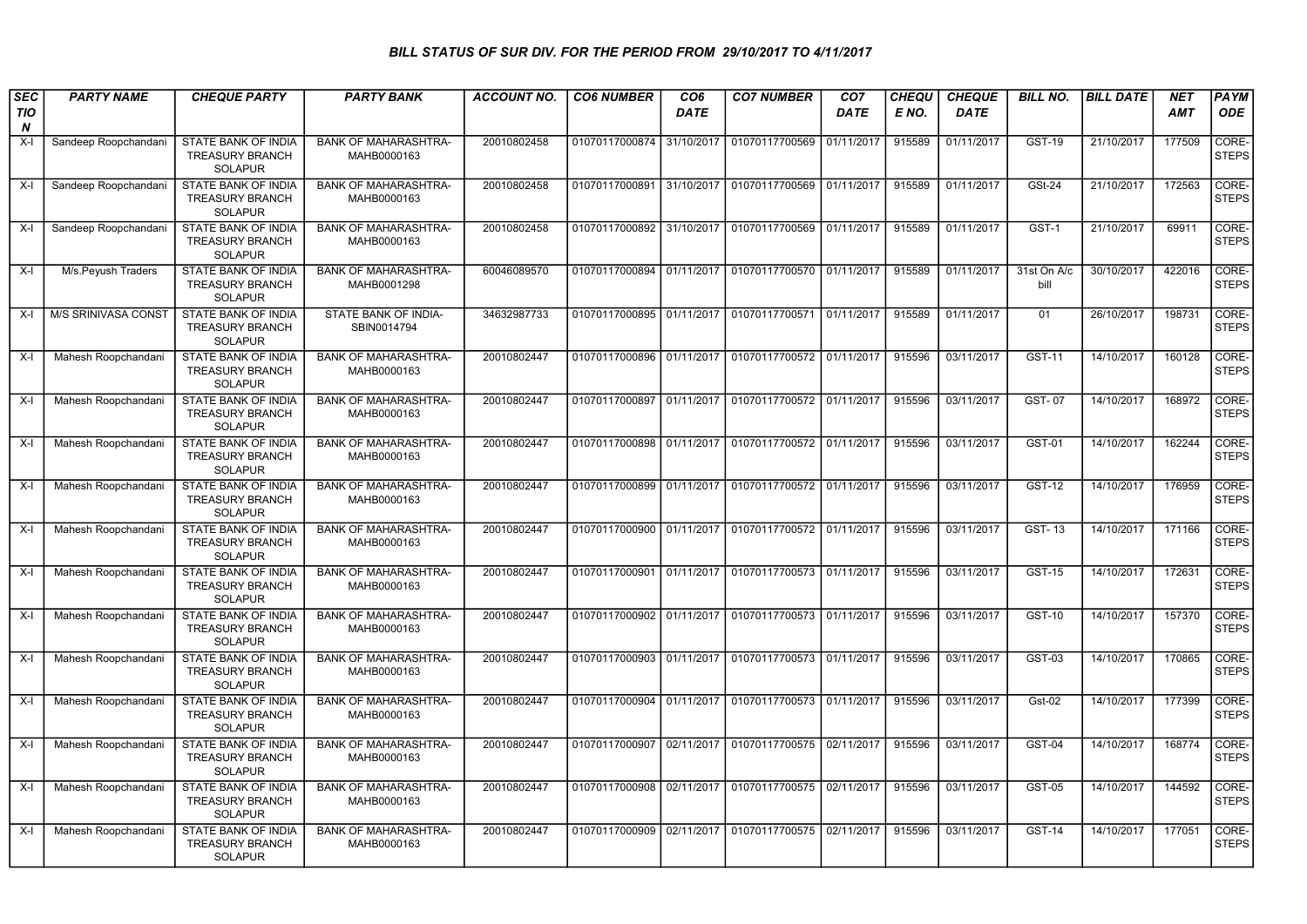## BILL STATUS OF SUR DIV. FOR THE PERIOD FROM 29/10/2017 TO 4/11/2017

| <b>SEC</b>                     | <b>PARTY NAME</b>    | <b>CHEQUE PARTY</b>                                                    | <b>PARTY BANK</b>                          | <b>ACCOUNT NO.</b> | <b>CO6 NUMBER</b>         | CO <sub>6</sub> | <b>CO7 NUMBER</b>                                   | CO <sub>7</sub> | <b>CHEQU</b> | <b>CHEQUE</b> | <b>BILL NO.</b>     | <b>BILL DATE</b> | <b>NET</b> | PAYM                  |
|--------------------------------|----------------------|------------------------------------------------------------------------|--------------------------------------------|--------------------|---------------------------|-----------------|-----------------------------------------------------|-----------------|--------------|---------------|---------------------|------------------|------------|-----------------------|
| <b>TIO</b><br>$\boldsymbol{N}$ |                      |                                                                        |                                            |                    |                           | <b>DATE</b>     |                                                     | <b>DATE</b>     | E NO.        | <b>DATE</b>   |                     |                  | <b>AMT</b> | <b>ODE</b>            |
| X-I                            | Sandeep Roopchandani | STATE BANK OF INDIA<br><b>TREASURY BRANCH</b><br><b>SOLAPUR</b>        | <b>BANK OF MAHARASHTRA-</b><br>MAHB0000163 | 20010802458        | 01070117000874 31/10/2017 |                 | 01070117700569                                      | 01/11/2017      | 915589       | 01/11/2017    | <b>GST-19</b>       | 21/10/2017       | 177509     | CORE-<br><b>STEPS</b> |
| $X-I$                          | Sandeep Roopchandani | <b>STATE BANK OF INDIA</b><br><b>TREASURY BRANCH</b><br><b>SOLAPUR</b> | <b>BANK OF MAHARASHTRA-</b><br>MAHB0000163 | 20010802458        |                           |                 | 01070117000891 31/10/2017 01070117700569            | 01/11/2017      | 915589       | 01/11/2017    | <b>GSt-24</b>       | 21/10/2017       | 172563     | CORE-<br><b>STEPS</b> |
| X-I                            | Sandeep Roopchandani | <b>STATE BANK OF INDIA</b><br><b>TREASURY BRANCH</b><br><b>SOLAPUR</b> | <b>BANK OF MAHARASHTRA-</b><br>MAHB0000163 | 20010802458        |                           |                 | 01070117000892 31/10/2017 01070117700569            | 01/11/2017      | 915589       | 01/11/2017    | $GST-1$             | 21/10/2017       | 69911      | CORE-<br><b>STEPS</b> |
| X-l                            | M/s.Peyush Traders   | <b>STATE BANK OF INDIA</b><br><b>TREASURY BRANCH</b><br><b>SOLAPUR</b> | <b>BANK OF MAHARASHTRA-</b><br>MAHB0001298 | 60046089570        |                           |                 | 01070117000894 01/11/2017 01070117700570 01/11/2017 |                 | 915589       | 01/11/2017    | 31st On A/c<br>bill | 30/10/2017       | 422016     | CORE-<br><b>STEPS</b> |
| X-I                            | M/S SRINIVASA CONST  | STATE BANK OF INDIA<br><b>TREASURY BRANCH</b><br><b>SOLAPUR</b>        | STATE BANK OF INDIA-<br>SBIN0014794        | 34632987733        |                           |                 | 01070117000895 01/11/2017 01070117700571            | 01/11/2017      | 915589       | 01/11/2017    | 01                  | 26/10/2017       | 198731     | CORE-<br><b>STEPS</b> |
| X-l                            | Mahesh Roopchandani  | <b>STATE BANK OF INDIA</b><br><b>TREASURY BRANCH</b><br><b>SOLAPUR</b> | <b>BANK OF MAHARASHTRA-</b><br>MAHB0000163 | 20010802447        |                           |                 | 01070117000896 01/11/2017 01070117700572 01/11/2017 |                 | 915596       | 03/11/2017    | <b>GST-11</b>       | 14/10/2017       | 160128     | CORE-<br><b>STEPS</b> |
| X-l                            | Mahesh Roopchandani  | <b>STATE BANK OF INDIA</b><br><b>TREASURY BRANCH</b><br><b>SOLAPUR</b> | <b>BANK OF MAHARASHTRA-</b><br>MAHB0000163 | 20010802447        |                           |                 | 01070117000897 01/11/2017 01070117700572 01/11/2017 |                 | 915596       | 03/11/2017    | GST-07              | 14/10/2017       | 168972     | CORE-<br><b>STEPS</b> |
| X-l                            | Mahesh Roopchandani  | STATE BANK OF INDIA<br><b>TREASURY BRANCH</b><br><b>SOLAPUR</b>        | <b>BANK OF MAHARASHTRA-</b><br>MAHB0000163 | 20010802447        |                           |                 | 01070117000898 01/11/2017 01070117700572 01/11/2017 |                 | 915596       | 03/11/2017    | <b>GST-01</b>       | 14/10/2017       | 162244     | CORE-<br><b>STEPS</b> |
| $X-I$                          | Mahesh Roopchandani  | STATE BANK OF INDIA<br><b>TREASURY BRANCH</b><br><b>SOLAPUR</b>        | <b>BANK OF MAHARASHTRA-</b><br>MAHB0000163 | 20010802447        |                           |                 | 01070117000899 01/11/2017 01070117700572            | 01/11/2017      | 915596       | 03/11/2017    | <b>GST-12</b>       | 14/10/2017       | 176959     | CORE-<br><b>STEPS</b> |
| X-I                            | Mahesh Roopchandani  | STATE BANK OF INDIA<br><b>TREASURY BRANCH</b><br><b>SOLAPUR</b>        | <b>BANK OF MAHARASHTRA-</b><br>MAHB0000163 | 20010802447        |                           |                 | 01070117000900 01/11/2017 01070117700572            | 01/11/2017      | 915596       | 03/11/2017    | <b>GST-13</b>       | 14/10/2017       | 171166     | CORE-<br><b>STEPS</b> |
| X-I                            | Mahesh Roopchandani  | <b>STATE BANK OF INDIA</b><br><b>TREASURY BRANCH</b><br><b>SOLAPUR</b> | <b>BANK OF MAHARASHTRA-</b><br>MAHB0000163 | 20010802447        |                           |                 | 01070117000901 01/11/2017 01070117700573            | 01/11/2017      | 915596       | 03/11/2017    | <b>GST-15</b>       | 14/10/2017       | 172631     | CORE-<br><b>STEPS</b> |
| X-I                            | Mahesh Roopchandani  | STATE BANK OF INDIA<br><b>TREASURY BRANCH</b><br><b>SOLAPUR</b>        | <b>BANK OF MAHARASHTRA-</b><br>MAHB0000163 | 20010802447        |                           |                 | 01070117000902 01/11/2017 01070117700573            | 01/11/2017      | 915596       | 03/11/2017    | <b>GST-10</b>       | 14/10/2017       | 157370     | CORE-<br><b>STEPS</b> |
| X-I                            | Mahesh Roopchandani  | STATE BANK OF INDIA<br><b>TREASURY BRANCH</b><br><b>SOLAPUR</b>        | <b>BANK OF MAHARASHTRA-</b><br>MAHB0000163 | 20010802447        |                           |                 | 01070117000903 01/11/2017 01070117700573            | 01/11/2017      | 915596       | 03/11/2017    | GST-03              | 14/10/2017       | 170865     | CORE-<br><b>STEPS</b> |
| X-I                            | Mahesh Roopchandani  | <b>STATE BANK OF INDIA</b><br><b>TREASURY BRANCH</b><br><b>SOLAPUR</b> | <b>BANK OF MAHARASHTRA-</b><br>MAHB0000163 | 20010802447        |                           |                 | 01070117000904 01/11/2017 01070117700573            | 01/11/2017      | 915596       | 03/11/2017    | <b>Gst-02</b>       | 14/10/2017       | 177399     | CORE-<br><b>STEPS</b> |
| X-I                            | Mahesh Roopchandani  | <b>STATE BANK OF INDIA</b><br><b>TREASURY BRANCH</b><br><b>SOLAPUR</b> | <b>BANK OF MAHARASHTRA-</b><br>MAHB0000163 | 20010802447        |                           |                 | 01070117000907 02/11/2017 01070117700575            | 02/11/2017      | 915596       | 03/11/2017    | <b>GST-04</b>       | 14/10/2017       | 168774     | CORE-<br><b>STEPS</b> |
| X-I                            | Mahesh Roopchandani  | <b>STATE BANK OF INDIA</b><br><b>TREASURY BRANCH</b><br><b>SOLAPUR</b> | <b>BANK OF MAHARASHTRA-</b><br>MAHB0000163 | 20010802447        |                           |                 | 01070117000908 02/11/2017 01070117700575            | 02/11/2017      | 915596       | 03/11/2017    | <b>GST-05</b>       | 14/10/2017       | 144592     | CORE-<br><b>STEPS</b> |
| X-I                            | Mahesh Roopchandani  | <b>STATE BANK OF INDIA</b><br><b>TREASURY BRANCH</b><br><b>SOLAPUR</b> | <b>BANK OF MAHARASHTRA-</b><br>MAHB0000163 | 20010802447        |                           |                 | 01070117000909 02/11/2017 01070117700575            | 02/11/2017      | 915596       | 03/11/2017    | <b>GST-14</b>       | 14/10/2017       | 177051     | CORE-<br><b>STEPS</b> |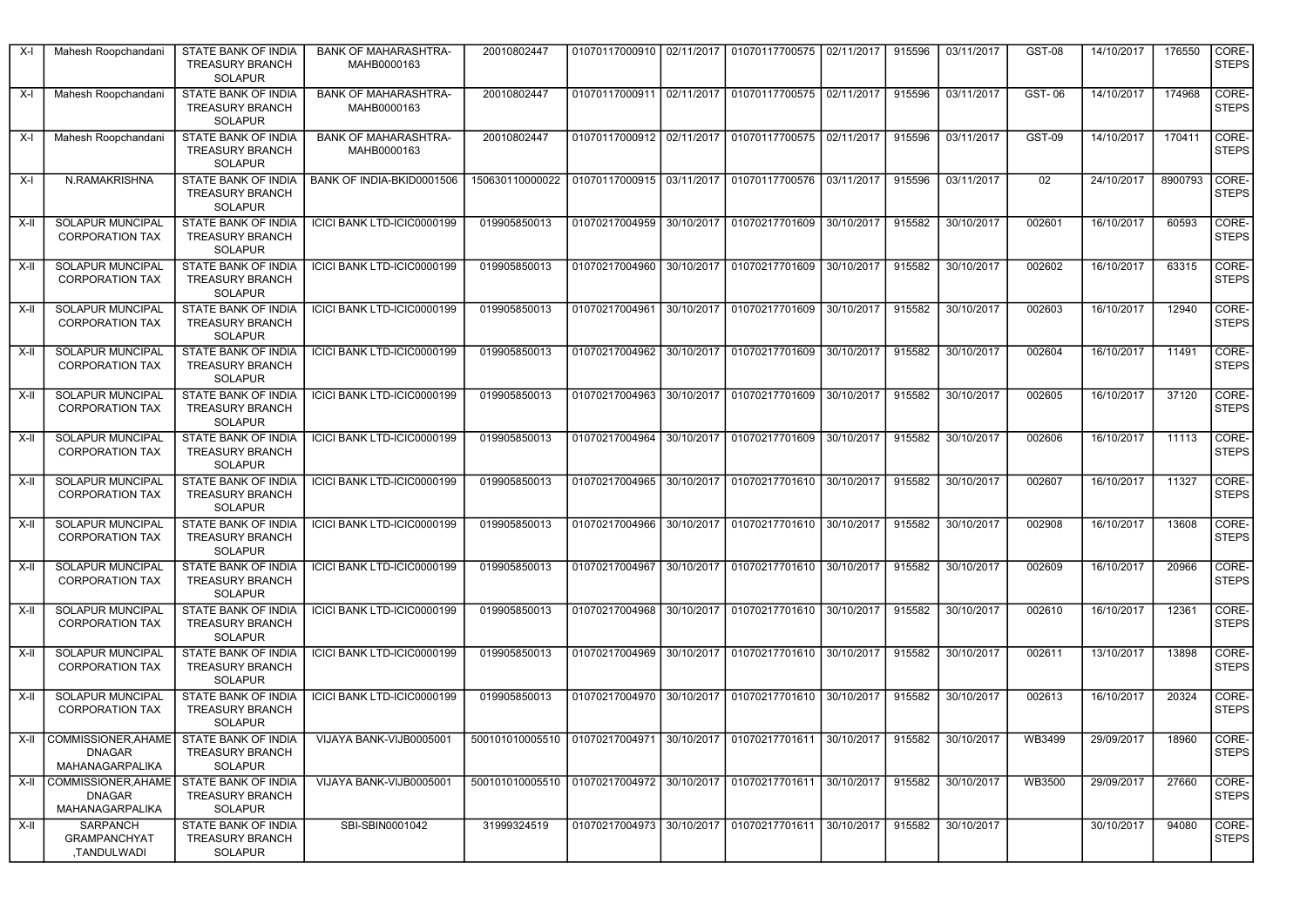| X-l  | Mahesh Roopchandani                                          | STATE BANK OF INDIA<br><b>TREASURY BRANCH</b><br><b>SOLAPUR</b>        | <b>BANK OF MAHARASHTRA-</b><br>MAHB0000163 | 20010802447                                                                                       |                           | 01070117000910   02/11/2017   01070117700575   02/11/2017 |            | 915596 | 03/11/2017 | GST-08          | 14/10/2017 | 176550  | CORE-<br><b>STEPS</b> |
|------|--------------------------------------------------------------|------------------------------------------------------------------------|--------------------------------------------|---------------------------------------------------------------------------------------------------|---------------------------|-----------------------------------------------------------|------------|--------|------------|-----------------|------------|---------|-----------------------|
| X-l  | Mahesh Roopchandani                                          | STATE BANK OF INDIA<br><b>TREASURY BRANCH</b><br><b>SOLAPUR</b>        | <b>BANK OF MAHARASHTRA-</b><br>MAHB0000163 | 20010802447                                                                                       |                           | 01070117000911 02/11/2017 01070117700575 02/11/2017       |            | 915596 | 03/11/2017 | GST-06          | 14/10/2017 | 174968  | CORE-<br><b>STEPS</b> |
| X-l  | Mahesh Roopchandani                                          | STATE BANK OF INDIA<br><b>TREASURY BRANCH</b><br><b>SOLAPUR</b>        | <b>BANK OF MAHARASHTRA-</b><br>MAHB0000163 | 20010802447                                                                                       |                           | 01070117000912 02/11/2017 01070117700575 02/11/2017       |            | 915596 | 03/11/2017 | <b>GST-09</b>   | 14/10/2017 | 170411  | CORE-<br><b>STEPS</b> |
| X-I  | N.RAMAKRISHNA                                                | <b>STATE BANK OF INDIA</b><br><b>TREASURY BRANCH</b><br><b>SOLAPUR</b> | BANK OF INDIA-BKID0001506                  | 150630110000022   01070117000915   03/11/2017   01070117700576   03/11/2017                       |                           |                                                           |            | 915596 | 03/11/2017 | 02 <sub>2</sub> | 24/10/2017 | 8900793 | CORE-<br><b>STEPS</b> |
| X-II | <b>SOLAPUR MUNCIPAL</b><br><b>CORPORATION TAX</b>            | STATE BANK OF INDIA<br><b>TREASURY BRANCH</b><br><b>SOLAPUR</b>        | ICICI BANK LTD-ICIC0000199                 | 019905850013                                                                                      | 01070217004959 30/10/2017 | 01070217701609                                            | 30/10/2017 | 915582 | 30/10/2017 | 002601          | 16/10/2017 | 60593   | CORE-<br><b>STEPS</b> |
| X-II | <b>SOLAPUR MUNCIPAL</b><br><b>CORPORATION TAX</b>            | <b>STATE BANK OF INDIA</b><br><b>TREASURY BRANCH</b><br><b>SOLAPUR</b> | ICICI BANK LTD-ICIC0000199                 | 019905850013                                                                                      |                           | 01070217004960   30/10/2017   01070217701609   30/10/2017 |            | 915582 | 30/10/2017 | 002602          | 16/10/2017 | 63315   | CORE-<br><b>STEPS</b> |
| X-II | <b>SOLAPUR MUNCIPAL</b><br><b>CORPORATION TAX</b>            | STATE BANK OF INDIA<br><b>TREASURY BRANCH</b><br><b>SOLAPUR</b>        | ICICI BANK LTD-ICIC0000199                 | 019905850013                                                                                      |                           | 01070217004961 30/10/2017 01070217701609 30/10/2017       |            | 915582 | 30/10/2017 | 002603          | 16/10/2017 | 12940   | CORE-<br><b>STEPS</b> |
| X-II | <b>SOLAPUR MUNCIPAL</b><br><b>CORPORATION TAX</b>            | STATE BANK OF INDIA<br><b>TREASURY BRANCH</b><br><b>SOLAPUR</b>        | ICICI BANK LTD-ICIC0000199                 | 019905850013                                                                                      |                           | 01070217004962 30/10/2017 01070217701609 30/10/2017       |            | 915582 | 30/10/2017 | 002604          | 16/10/2017 | 11491   | CORE-<br><b>STEPS</b> |
| X-II | <b>SOLAPUR MUNCIPAL</b><br><b>CORPORATION TAX</b>            | <b>STATE BANK OF INDIA</b><br><b>TREASURY BRANCH</b><br><b>SOLAPUR</b> | ICICI BANK LTD-ICIC0000199                 | 019905850013                                                                                      |                           | 01070217004963 30/10/2017 01070217701609 30/10/2017       |            | 915582 | 30/10/2017 | 002605          | 16/10/2017 | 37120   | CORE-<br><b>STEPS</b> |
| X-II | <b>SOLAPUR MUNCIPAL</b><br><b>CORPORATION TAX</b>            | STATE BANK OF INDIA<br><b>TREASURY BRANCH</b><br><b>SOLAPUR</b>        | ICICI BANK LTD-ICIC0000199                 | 019905850013                                                                                      |                           | 01070217004964 30/10/2017 01070217701609 30/10/2017       |            | 915582 | 30/10/2017 | 002606          | 16/10/2017 | 11113   | CORE-<br><b>STEPS</b> |
| X-II | <b>SOLAPUR MUNCIPAL</b><br><b>CORPORATION TAX</b>            | STATE BANK OF INDIA<br><b>TREASURY BRANCH</b><br><b>SOLAPUR</b>        | ICICI BANK LTD-ICIC0000199                 | 019905850013                                                                                      |                           | 01070217004965 30/10/2017 01070217701610 30/10/2017       |            | 915582 | 30/10/2017 | 002607          | 16/10/2017 | 11327   | CORE-<br><b>STEPS</b> |
| X-II | <b>SOLAPUR MUNCIPAL</b><br><b>CORPORATION TAX</b>            | STATE BANK OF INDIA<br><b>TREASURY BRANCH</b><br><b>SOLAPUR</b>        | ICICI BANK LTD-ICIC0000199                 | 019905850013                                                                                      |                           | 01070217004966 30/10/2017 01070217701610 30/10/2017       |            | 915582 | 30/10/2017 | 002908          | 16/10/2017 | 13608   | CORE-<br><b>STEPS</b> |
| X-II | <b>SOLAPUR MUNCIPAL</b><br><b>CORPORATION TAX</b>            | STATE BANK OF INDIA<br><b>TREASURY BRANCH</b><br><b>SOLAPUR</b>        | ICICI BANK LTD-ICIC0000199                 | 019905850013                                                                                      | 01070217004967 30/10/2017 | 01070217701610 30/10/2017                                 |            | 915582 | 30/10/2017 | 002609          | 16/10/2017 | 20966   | CORE-<br><b>STEPS</b> |
| X-II | <b>SOLAPUR MUNCIPAL</b><br><b>CORPORATION TAX</b>            | STATE BANK OF INDIA<br><b>TREASURY BRANCH</b><br><b>SOLAPUR</b>        | ICICI BANK LTD-ICIC0000199                 | 019905850013                                                                                      |                           | 01070217004968   30/10/2017   01070217701610   30/10/2017 |            | 915582 | 30/10/2017 | 002610          | 16/10/2017 | 12361   | CORE-<br><b>STEPS</b> |
| X-II | SOLAPUR MUNCIPAL<br><b>CORPORATION TAX</b>                   | STATE BANK OF INDIA<br><b>TREASURY BRANCH</b><br><b>SOLAPUR</b>        | ICICI BANK LTD-ICIC0000199                 | 019905850013                                                                                      |                           | 01070217004969 30/10/2017 01070217701610 30/10/2017       |            | 915582 | 30/10/2017 | 002611          | 13/10/2017 | 13898   | CORE-<br><b>STEPS</b> |
| X-II | <b>SOLAPUR MUNCIPAL</b><br><b>CORPORATION TAX</b>            | STATE BANK OF INDIA<br><b>TREASURY BRANCH</b><br><b>SOLAPUR</b>        | ICICI BANK LTD-ICIC0000199                 | 019905850013                                                                                      |                           | 01070217004970 30/10/2017 01070217701610                  | 30/10/2017 | 915582 | 30/10/2017 | 002613          | 16/10/2017 | 20324   | CORE-<br><b>STEPS</b> |
|      | X-II COMMISSIONER, AHAME<br><b>DNAGAR</b><br>MAHANAGARPALIKA | <b>STATE BANK OF INDIA</b><br><b>TREASURY BRANCH</b><br><b>SOLAPUR</b> | VIJAYA BANK-VIJB0005001                    | 500101010005510   01070217004971   30/10/2017   01070217701611   30/10/2017   915582   30/10/2017 |                           |                                                           |            |        |            | WB3499          | 29/09/2017 | 18960   | CORE-<br><b>STEPS</b> |
| X-II | COMMISSIONER, AHAME<br><b>DNAGAR</b><br>MAHANAGARPALIKA      | STATE BANK OF INDIA<br><b>TREASURY BRANCH</b><br><b>SOLAPUR</b>        | VIJAYA BANK-VIJB0005001                    | 500101010005510 01070217004972 30/10/2017 01070217701611 30/10/2017                               |                           |                                                           |            | 915582 | 30/10/2017 | WB3500          | 29/09/2017 | 27660   | CORE-<br><b>STEPS</b> |
| X-II | SARPANCH<br><b>GRAMPANCHYAT</b><br>,TANDULWADI               | STATE BANK OF INDIA<br><b>TREASURY BRANCH</b><br><b>SOLAPUR</b>        | SBI-SBIN0001042                            | 31999324519                                                                                       |                           | 01070217004973 30/10/2017 01070217701611 30/10/2017       |            | 915582 | 30/10/2017 |                 | 30/10/2017 | 94080   | CORE-<br><b>STEPS</b> |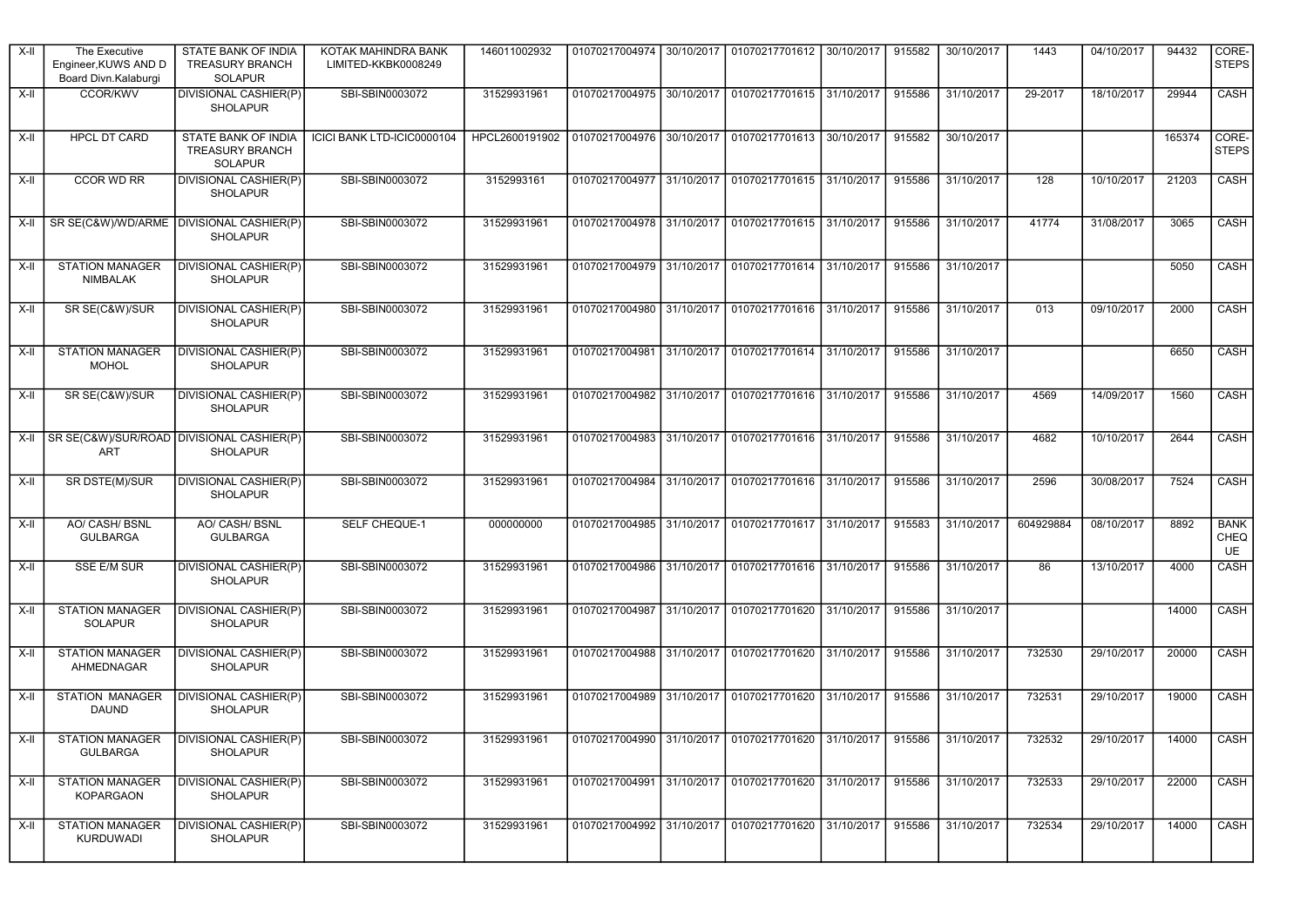| X-II   | The Executive<br>Engineer, KUWS AND D<br>Board Divn.Kalaburgi | STATE BANK OF INDIA<br><b>TREASURY BRANCH</b><br><b>SOLAPUR</b> | KOTAK MAHINDRA BANK<br>LIMITED-KKBK0008249 | 146011002932   | 01070217004974 30/10/2017 |            | 01070217701612 30/10/2017                                             |            | 915582 | 30/10/2017 | 1443      | 04/10/2017 | 94432  | CORE-<br><b>STEPS</b>            |
|--------|---------------------------------------------------------------|-----------------------------------------------------------------|--------------------------------------------|----------------|---------------------------|------------|-----------------------------------------------------------------------|------------|--------|------------|-----------|------------|--------|----------------------------------|
| X-II   | <b>CCOR/KWV</b>                                               | <b>DIVISIONAL CASHIER(P)</b><br><b>SHOLAPUR</b>                 | SBI-SBIN0003072                            | 31529931961    |                           |            | 01070217004975 30/10/2017 01070217701615 31/10/2017                   |            | 915586 | 31/10/2017 | 29-2017   | 18/10/2017 | 29944  | CASH                             |
| X-II   | HPCL DT CARD                                                  | STATE BANK OF INDIA<br><b>TREASURY BRANCH</b><br><b>SOLAPUR</b> | ICICI BANK LTD-ICIC0000104                 | HPCL2600191902 | 01070217004976 30/10/2017 |            | 01070217701613 30/10/2017                                             |            | 915582 | 30/10/2017 |           |            | 165374 | CORE-<br><b>STEPS</b>            |
| X-II   | CCOR WD RR                                                    | DIVISIONAL CASHIER(P)<br><b>SHOLAPUR</b>                        | SBI-SBIN0003072                            | 3152993161     | 01070217004977 31/10/2017 |            | 01070217701615 31/10/2017                                             |            | 915586 | 31/10/2017 | 128       | 10/10/2017 | 21203  | CASH                             |
| X-II   | SR SE(C&W)/WD/ARME   DIVISIONAL CASHIER(P)                    | <b>SHOLAPUR</b>                                                 | SBI-SBIN0003072                            | 31529931961    | 01070217004978 31/10/2017 |            | 01070217701615 31/10/2017                                             |            | 915586 | 31/10/2017 | 41774     | 31/08/2017 | 3065   | CASH                             |
| X-II   | <b>STATION MANAGER</b><br><b>NIMBALAK</b>                     | <b>DIVISIONAL CASHIER(P)</b><br><b>SHOLAPUR</b>                 | SBI-SBIN0003072                            | 31529931961    | 01070217004979 31/10/2017 |            | 01070217701614 31/10/2017                                             |            | 915586 | 31/10/2017 |           |            | 5050   | CASH                             |
| X-II   | SR SE(C&W)/SUR                                                | DIVISIONAL CASHIER(P)<br><b>SHOLAPUR</b>                        | SBI-SBIN0003072                            | 31529931961    |                           |            | 01070217004980 31/10/2017 01070217701616 31/10/2017                   |            | 915586 | 31/10/2017 | 013       | 09/10/2017 | 2000   | CASH                             |
| $X-II$ | <b>STATION MANAGER</b><br><b>MOHOL</b>                        | <b>DIVISIONAL CASHIER(P)</b><br><b>SHOLAPUR</b>                 | SBI-SBIN0003072                            | 31529931961    | 01070217004981            | 31/10/2017 | 01070217701614                                                        | 31/10/2017 | 915586 | 31/10/2017 |           |            | 6650   | CASH                             |
| X-II   | SR SE(C&W)/SUR                                                | DIVISIONAL CASHIER(P)<br><b>SHOLAPUR</b>                        | SBI-SBIN0003072                            | 31529931961    |                           |            | 01070217004982 31/10/2017 01070217701616 31/10/2017                   |            | 915586 | 31/10/2017 | 4569      | 14/09/2017 | 1560   | CASH                             |
| X-II   | SR SE(C&W)/SUR/ROAD DIVISIONAL CASHIER(P)<br><b>ART</b>       | <b>SHOLAPUR</b>                                                 | SBI-SBIN0003072                            | 31529931961    | 01070217004983 31/10/2017 |            | 01070217701616 31/10/2017                                             |            | 915586 | 31/10/2017 | 4682      | 10/10/2017 | 2644   | <b>CASH</b>                      |
| X-II   | SR DSTE(M)/SUR                                                | <b>DIVISIONAL CASHIER(P)</b><br><b>SHOLAPUR</b>                 | SBI-SBIN0003072                            | 31529931961    | 01070217004984            | 31/10/2017 | 01070217701616 31/10/2017                                             |            | 915586 | 31/10/2017 | 2596      | 30/08/2017 | 7524   | CASH                             |
| X-II   | <b>AO/ CASH/ BSNL</b><br><b>GULBARGA</b>                      | AO/ CASH/ BSNL<br><b>GULBARGA</b>                               | <b>SELF CHEQUE-1</b>                       | 000000000      | 01070217004985 31/10/2017 |            | 01070217701617 31/10/2017                                             |            | 915583 | 31/10/2017 | 604929884 | 08/10/2017 | 8892   | <b>BANK</b><br><b>CHEQ</b><br>UE |
| X-II   | SSE E/M SUR                                                   | <b>DIVISIONAL CASHIER(P)</b><br><b>SHOLAPUR</b>                 | SBI-SBIN0003072                            | 31529931961    | 01070217004986 31/10/2017 |            | 01070217701616 31/10/2017                                             |            | 915586 | 31/10/2017 | 86        | 13/10/2017 | 4000   | <b>CASH</b>                      |
| X-II   | <b>STATION MANAGER</b><br>SOLAPUR                             | DIVISIONAL CASHIER(P)<br><b>SHOLAPUR</b>                        | SBI-SBIN0003072                            | 31529931961    | 01070217004987 31/10/2017 |            | 01070217701620                                                        | 31/10/2017 | 915586 | 31/10/2017 |           |            | 14000  | CASH                             |
| X-II   | <b>STATION MANAGER</b><br>AHMEDNAGAR                          | <b>DIVISIONAL CASHIER(P)</b><br><b>SHOLAPUR</b>                 | SBI-SBIN0003072                            | 31529931961    |                           |            | 01070217004988 31/10/2017 01070217701620 31/10/2017                   |            | 915586 | 31/10/2017 | 732530    | 29/10/2017 | 20000  | CASH                             |
| X-II   | <b>STATION MANAGER</b><br><b>DAUND</b>                        | <b>DIVISIONAL CASHIER(P)</b><br><b>SHOLAPUR</b>                 | SBI-SBIN0003072                            | 31529931961    | 01070217004989            | 31/10/2017 | 01070217701620                                                        | 31/10/2017 | 915586 | 31/10/2017 | 732531    | 29/10/2017 | 19000  | CASH                             |
|        | X-II STATION MANAGER DIVISIONAL CASHIER(P)<br><b>GULBARGA</b> | SHOLAPUR                                                        | SBI-SBIN0003072                            | 31529931961    |                           |            | 01070217004990 31/10/2017 01070217701620 31/10/2017 915586 31/10/2017 |            |        |            | 732532    | 29/10/2017 | 14000  | $\overline{\big }$ CASH          |
| X-II   | <b>STATION MANAGER</b><br>KOPARGAON                           | DIVISIONAL CASHIER(P)<br><b>SHOLAPUR</b>                        | SBI-SBIN0003072                            | 31529931961    |                           |            | 01070217004991 31/10/2017 01070217701620 31/10/2017                   |            | 915586 | 31/10/2017 | 732533    | 29/10/2017 | 22000  | CASH                             |
| X-II   | <b>STATION MANAGER</b><br>KURDUWADI                           | DIVISIONAL CASHIER(P)<br>SHOLAPUR                               | SBI-SBIN0003072                            | 31529931961    |                           |            | 01070217004992 31/10/2017 01070217701620 31/10/2017                   |            | 915586 | 31/10/2017 | 732534    | 29/10/2017 | 14000  | CASH                             |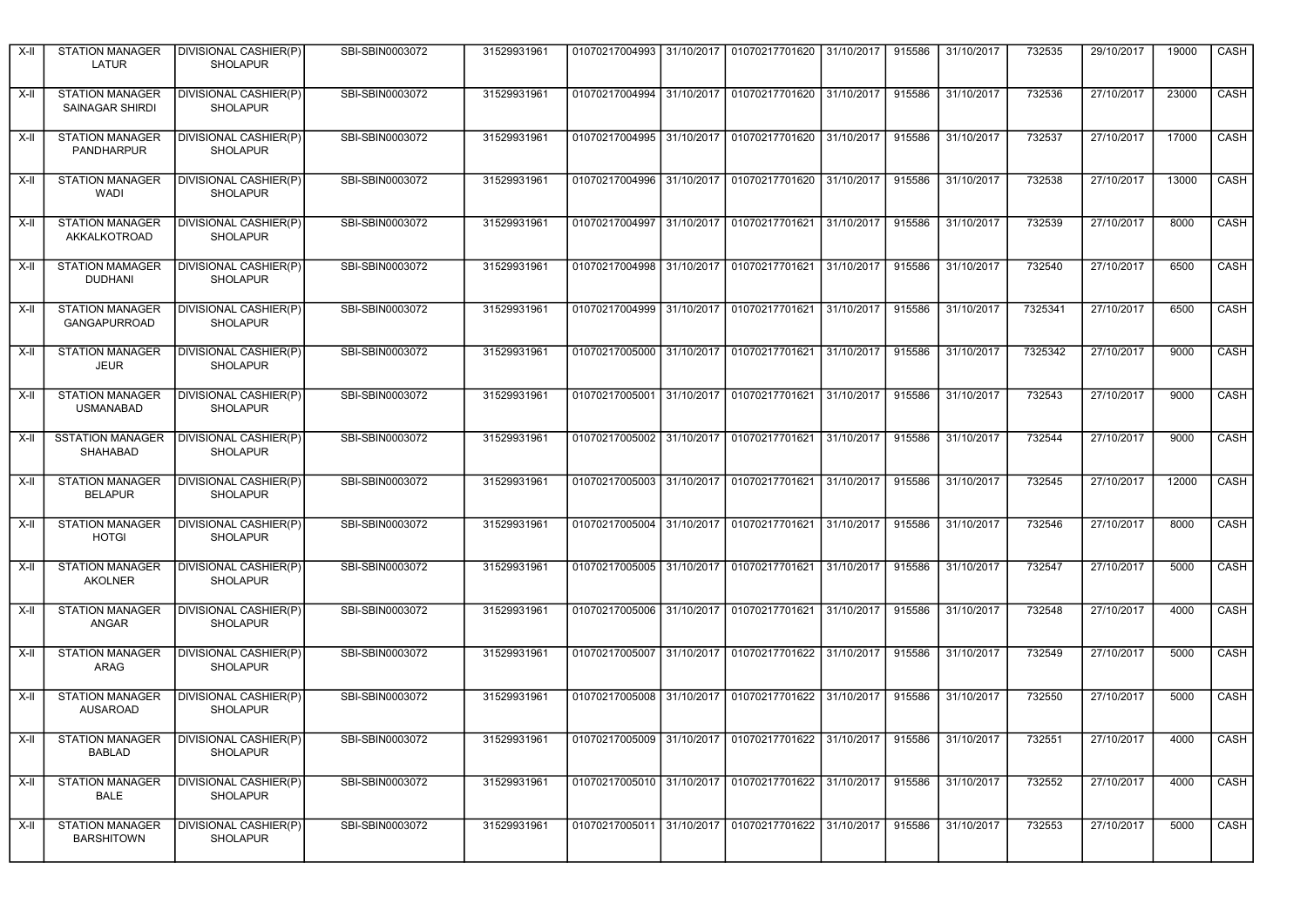| X-II   | <b>STATION MANAGER</b><br>LATUR                      | DIVISIONAL CASHIER(P)<br><b>SHOLAPUR</b>        | SBI-SBIN0003072 | 31529931961 |                                                                              | 01070217004993 31/10/2017 01070217701620 31/10/2017 |            | 915586 | 31/10/2017 | 732535  | 29/10/2017 | 19000 | CASH        |
|--------|------------------------------------------------------|-------------------------------------------------|-----------------|-------------|------------------------------------------------------------------------------|-----------------------------------------------------|------------|--------|------------|---------|------------|-------|-------------|
| $X-H$  | <b>STATION MANAGER</b><br>SAINAGAR SHIRDI            | DIVISIONAL CASHIER(P)<br><b>SHOLAPUR</b>        | SBI-SBIN0003072 | 31529931961 |                                                                              | 01070217004994 31/10/2017 01070217701620 31/10/2017 |            | 915586 | 31/10/2017 | 732536  | 27/10/2017 | 23000 | CASH        |
| X-II   | <b>STATION MANAGER</b><br>PANDHARPUR                 | DIVISIONAL CASHIER(P)<br><b>SHOLAPUR</b>        | SBI-SBIN0003072 | 31529931961 |                                                                              | 01070217004995 31/10/2017 01070217701620 31/10/2017 |            | 915586 | 31/10/2017 | 732537  | 27/10/2017 | 17000 | CASH        |
| X-II   | <b>STATION MANAGER</b><br>WADI                       | DIVISIONAL CASHIER(P)<br><b>SHOLAPUR</b>        | SBI-SBIN0003072 | 31529931961 |                                                                              | 01070217004996 31/10/2017 01070217701620 31/10/2017 |            | 915586 | 31/10/2017 | 732538  | 27/10/2017 | 13000 | CASH        |
| $X-II$ | <b>STATION MANAGER</b><br>AKKALKOTROAD               | <b>DIVISIONAL CASHIER(P)</b><br><b>SHOLAPUR</b> | SBI-SBIN0003072 | 31529931961 | 01070217004997 31/10/2017                                                    | 01070217701621                                      | 31/10/2017 | 915586 | 31/10/2017 | 732539  | 27/10/2017 | 8000  | CASH        |
| X-II   | <b>STATION MAMAGER</b><br><b>DUDHANI</b>             | DIVISIONAL CASHIER(P)<br><b>SHOLAPUR</b>        | SBI-SBIN0003072 | 31529931961 |                                                                              | 01070217004998 31/10/2017 01070217701621 31/10/2017 |            | 915586 | 31/10/2017 | 732540  | 27/10/2017 | 6500  | CASH        |
| X-II   | <b>STATION MANAGER</b><br><b>GANGAPURROAD</b>        | DIVISIONAL CASHIER(P)<br><b>SHOLAPUR</b>        | SBI-SBIN0003072 | 31529931961 |                                                                              | 01070217004999 31/10/2017 01070217701621 31/10/2017 |            | 915586 | 31/10/2017 | 7325341 | 27/10/2017 | 6500  | <b>CASH</b> |
| X-II   | <b>STATION MANAGER</b><br><b>JEUR</b>                | DIVISIONAL CASHIER(P)<br><b>SHOLAPUR</b>        | SBI-SBIN0003072 | 31529931961 |                                                                              | 01070217005000 31/10/2017 01070217701621 31/10/2017 |            | 915586 | 31/10/2017 | 7325342 | 27/10/2017 | 9000  | CASH        |
| X-II   | <b>STATION MANAGER</b><br><b>USMANABAD</b>           | <b>DIVISIONAL CASHIER(P)</b><br><b>SHOLAPUR</b> | SBI-SBIN0003072 | 31529931961 |                                                                              | 01070217005001 31/10/2017 01070217701621 31/10/2017 |            | 915586 | 31/10/2017 | 732543  | 27/10/2017 | 9000  | <b>CASH</b> |
| X-II   | <b>SSTATION MANAGER</b><br>SHAHABAD                  | DIVISIONAL CASHIER(P)<br><b>SHOLAPUR</b>        | SBI-SBIN0003072 | 31529931961 |                                                                              | 01070217005002 31/10/2017 01070217701621            | 31/10/2017 | 915586 | 31/10/2017 | 732544  | 27/10/2017 | 9000  | CASH        |
| X-II   | <b>STATION MANAGER</b><br><b>BELAPUR</b>             | DIVISIONAL CASHIER(P)<br><b>SHOLAPUR</b>        | SBI-SBIN0003072 | 31529931961 |                                                                              | 01070217005003 31/10/2017 01070217701621 31/10/2017 |            | 915586 | 31/10/2017 | 732545  | 27/10/2017 | 12000 | CASH        |
| X-II   | <b>STATION MANAGER</b><br><b>HOTGI</b>               | <b>DIVISIONAL CASHIER(P)</b><br><b>SHOLAPUR</b> | SBI-SBIN0003072 | 31529931961 |                                                                              | 01070217005004 31/10/2017 01070217701621 31/10/2017 |            | 915586 | 31/10/2017 | 732546  | 27/10/2017 | 8000  | CASH        |
| X-II   | <b>STATION MANAGER</b><br><b>AKOLNER</b>             | <b>DIVISIONAL CASHIER(P)</b><br><b>SHOLAPUR</b> | SBI-SBIN0003072 | 31529931961 | 01070217005005 31/10/2017                                                    | 01070217701621                                      | 31/10/2017 | 915586 | 31/10/2017 | 732547  | 27/10/2017 | 5000  | <b>CASH</b> |
| X-II   | <b>STATION MANAGER</b><br>ANGAR                      | DIVISIONAL CASHIER(P)<br><b>SHOLAPUR</b>        | SBI-SBIN0003072 | 31529931961 |                                                                              | 01070217005006 31/10/2017 01070217701621 31/10/2017 |            | 915586 | 31/10/2017 | 732548  | 27/10/2017 | 4000  | CASH        |
| X-II   | <b>STATION MANAGER</b><br><b>ARAG</b>                | <b>DIVISIONAL CASHIER(P)</b><br><b>SHOLAPUR</b> | SBI-SBIN0003072 | 31529931961 |                                                                              | 01070217005007 31/10/2017 01070217701622 31/10/2017 |            | 915586 | 31/10/2017 | 732549  | 27/10/2017 | 5000  | CASH        |
| X-II   | <b>STATION MANAGER</b><br><b>AUSAROAD</b>            | <b>DIVISIONAL CASHIER(P)</b><br><b>SHOLAPUR</b> | SBI-SBIN0003072 | 31529931961 |                                                                              | 01070217005008 31/10/2017 01070217701622 31/10/2017 |            | 915586 | 31/10/2017 | 732550  | 27/10/2017 | 5000  | CASH        |
|        | X-II STATION MANAGER DIVISIONAL CASHIER(P)<br>BABLAD | <b>SHOLAPUR</b>                                 | SBI-SBIN0003072 | 31529931961 | 01070217005009 31/10/2017 01070217701622 31/10/2017 915586 31/10/2017 732551 |                                                     |            |        |            |         | 27/10/2017 | 4000  | CASH        |
| X-II   | <b>STATION MANAGER</b><br>BALE                       | <b>DIVISIONAL CASHIER(P)</b><br><b>SHOLAPUR</b> | SBI-SBIN0003072 | 31529931961 |                                                                              | 01070217005010 31/10/2017 01070217701622 31/10/2017 |            | 915586 | 31/10/2017 | 732552  | 27/10/2017 | 4000  | CASH        |
| X-II   | <b>STATION MANAGER</b><br><b>BARSHITOWN</b>          | DIVISIONAL CASHIER(P)<br><b>SHOLAPUR</b>        | SBI-SBIN0003072 | 31529931961 |                                                                              | 01070217005011 31/10/2017 01070217701622 31/10/2017 |            | 915586 | 31/10/2017 | 732553  | 27/10/2017 | 5000  | CASH        |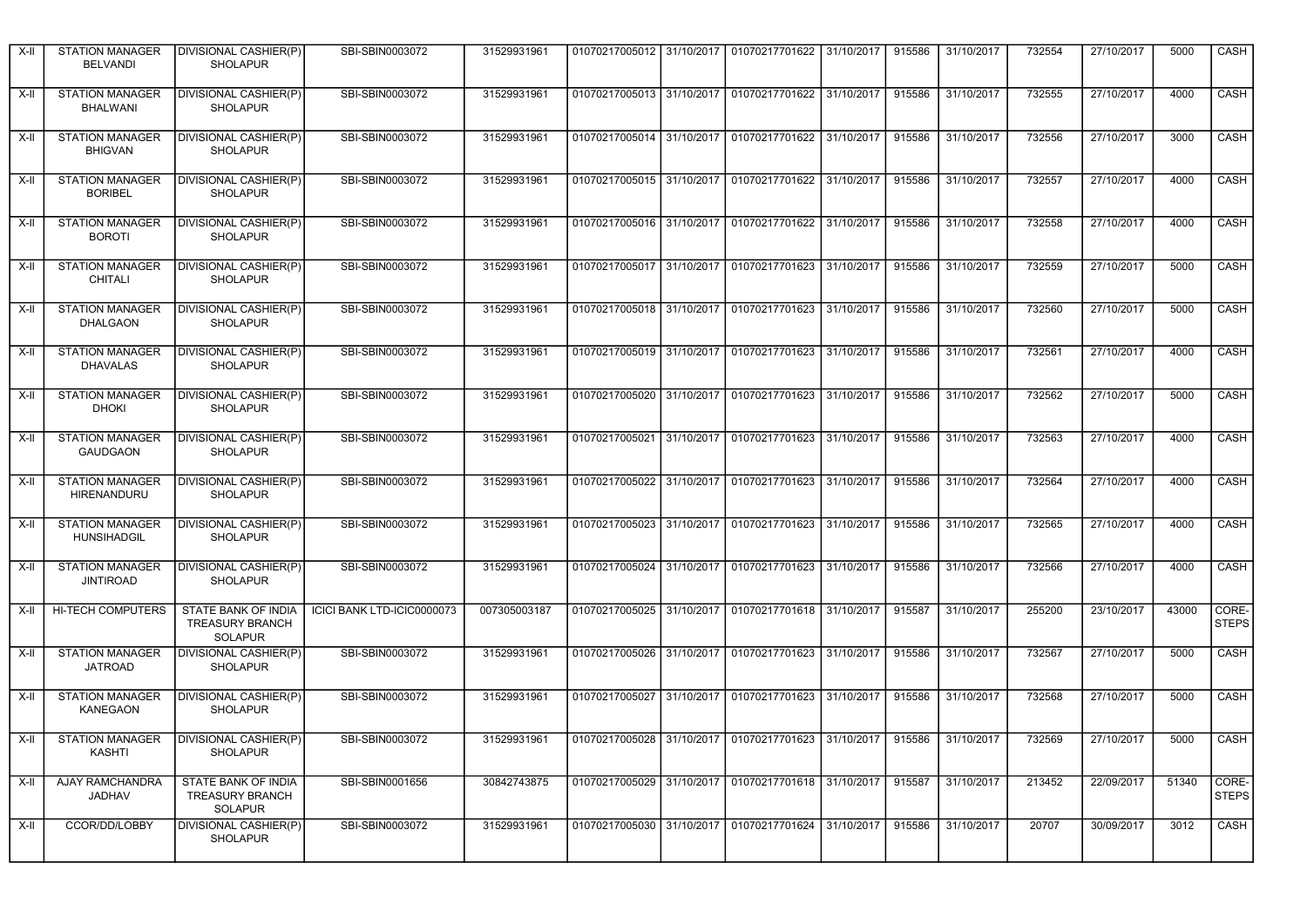| X-II | <b>STATION MANAGER</b><br><b>BELVANDI</b>    | DIVISIONAL CASHIER(P)<br><b>SHOLAPUR</b>                        | SBI-SBIN0003072            | 31529931961  |                                                                       | 01070217005012 31/10/2017 01070217701622 31/10/2017 |            | 915586 | 31/10/2017 | 732554 | 27/10/2017 | 5000  | CASH                    |
|------|----------------------------------------------|-----------------------------------------------------------------|----------------------------|--------------|-----------------------------------------------------------------------|-----------------------------------------------------|------------|--------|------------|--------|------------|-------|-------------------------|
| X-II | <b>STATION MANAGER</b><br><b>BHALWANI</b>    | DIVISIONAL CASHIER(P)<br><b>SHOLAPUR</b>                        | SBI-SBIN0003072            | 31529931961  |                                                                       | 01070217005013 31/10/2017 01070217701622 31/10/2017 |            | 915586 | 31/10/2017 | 732555 | 27/10/2017 | 4000  | CASH                    |
| X-II | <b>STATION MANAGER</b><br><b>BHIGVAN</b>     | DIVISIONAL CASHIER(P)<br><b>SHOLAPUR</b>                        | SBI-SBIN0003072            | 31529931961  |                                                                       | 01070217005014 31/10/2017 01070217701622            | 31/10/2017 | 915586 | 31/10/2017 | 732556 | 27/10/2017 | 3000  | CASH                    |
| X-II | <b>STATION MANAGER</b><br><b>BORIBEL</b>     | DIVISIONAL CASHIER(P)<br><b>SHOLAPUR</b>                        | SBI-SBIN0003072            | 31529931961  |                                                                       | 01070217005015 31/10/2017 01070217701622 31/10/2017 |            | 915586 | 31/10/2017 | 732557 | 27/10/2017 | 4000  | CASH                    |
| X-II | <b>STATION MANAGER</b><br><b>BOROTI</b>      | DIVISIONAL CASHIER(P)<br><b>SHOLAPUR</b>                        | SBI-SBIN0003072            | 31529931961  | 01070217005016 31/10/2017                                             | 01070217701622 31/10/2017                           |            | 915586 | 31/10/2017 | 732558 | 27/10/2017 | 4000  | CASH                    |
| X-II | <b>STATION MANAGER</b><br><b>CHITALI</b>     | DIVISIONAL CASHIER(P)<br><b>SHOLAPUR</b>                        | SBI-SBIN0003072            | 31529931961  |                                                                       | 01070217005017 31/10/2017 01070217701623 31/10/2017 |            | 915586 | 31/10/2017 | 732559 | 27/10/2017 | 5000  | CASH                    |
| X-II | <b>STATION MANAGER</b><br>DHALGAON           | DIVISIONAL CASHIER(P)<br><b>SHOLAPUR</b>                        | SBI-SBIN0003072            | 31529931961  |                                                                       | 01070217005018 31/10/2017 01070217701623 31/10/2017 |            | 915586 | 31/10/2017 | 732560 | 27/10/2017 | 5000  | <b>CASH</b>             |
| X-II | <b>STATION MANAGER</b><br><b>DHAVALAS</b>    | DIVISIONAL CASHIER(P)<br><b>SHOLAPUR</b>                        | SBI-SBIN0003072            | 31529931961  |                                                                       | 01070217005019 31/10/2017 01070217701623 31/10/2017 |            | 915586 | 31/10/2017 | 732561 | 27/10/2017 | 4000  | CASH                    |
| X-II | <b>STATION MANAGER</b><br><b>DHOKI</b>       | DIVISIONAL CASHIER(P)<br><b>SHOLAPUR</b>                        | SBI-SBIN0003072            | 31529931961  |                                                                       | 01070217005020 31/10/2017 01070217701623 31/10/2017 |            | 915586 | 31/10/2017 | 732562 | 27/10/2017 | 5000  | CASH                    |
| X-II | <b>STATION MANAGER</b><br><b>GAUDGAON</b>    | DIVISIONAL CASHIER(P)<br><b>SHOLAPUR</b>                        | SBI-SBIN0003072            | 31529931961  |                                                                       | 01070217005021 31/10/2017 01070217701623 31/10/2017 |            | 915586 | 31/10/2017 | 732563 | 27/10/2017 | 4000  | CASH                    |
| X-II | <b>STATION MANAGER</b><br><b>HIRENANDURU</b> | DIVISIONAL CASHIER(P)<br><b>SHOLAPUR</b>                        | SBI-SBIN0003072            | 31529931961  |                                                                       | 01070217005022 31/10/2017 01070217701623 31/10/2017 |            | 915586 | 31/10/2017 | 732564 | 27/10/2017 | 4000  | CASH                    |
| X-II | <b>STATION MANAGER</b><br><b>HUNSIHADGIL</b> | <b>DIVISIONAL CASHIER(P)</b><br><b>SHOLAPUR</b>                 | SBI-SBIN0003072            | 31529931961  |                                                                       | 01070217005023 31/10/2017 01070217701623 31/10/2017 |            | 915586 | 31/10/2017 | 732565 | 27/10/2017 | 4000  | <b>CASH</b>             |
| X-II | <b>STATION MANAGER</b><br><b>JINTIROAD</b>   | DIVISIONAL CASHIER(P)<br><b>SHOLAPUR</b>                        | SBI-SBIN0003072            | 31529931961  | 01070217005024 31/10/2017                                             | 01070217701623 31/10/2017                           |            | 915586 | 31/10/2017 | 732566 | 27/10/2017 | 4000  | CASH                    |
| X-II | <b>HI-TECH COMPUTERS</b>                     | STATE BANK OF INDIA<br><b>TREASURY BRANCH</b><br><b>SOLAPUR</b> | ICICI BANK LTD-ICIC0000073 | 007305003187 |                                                                       | 01070217005025 31/10/2017 01070217701618 31/10/2017 |            | 915587 | 31/10/2017 | 255200 | 23/10/2017 | 43000 | CORE-<br><b>STEPS</b>   |
| X-II | <b>STATION MANAGER</b><br><b>JATROAD</b>     | DIVISIONAL CASHIER(P)<br><b>SHOLAPUR</b>                        | SBI-SBIN0003072            | 31529931961  |                                                                       | 01070217005026 31/10/2017 01070217701623 31/10/2017 |            | 915586 | 31/10/2017 | 732567 | 27/10/2017 | 5000  | <b>CASH</b>             |
| X-II | <b>STATION MANAGER</b><br>KANEGAON           | DIVISIONAL CASHIER(P)<br><b>SHOLAPUR</b>                        | SBI-SBIN0003072            | 31529931961  | 01070217005027 31/10/2017                                             | 01070217701623 31/10/2017                           |            | 915586 | 31/10/2017 | 732568 | 27/10/2017 | 5000  | CASH                    |
|      | KASHTI                                       | X-II STATION MANAGER DIVISIONAL CASHIER(P)<br><b>SHOLAPUR</b>   | SBI-SBIN0003072            | 31529931961  | 01070217005028 31/10/2017 01070217701623 31/10/2017 915586 31/10/2017 |                                                     |            |        |            | 732569 | 27/10/2017 | 5000  | $\overline{\big }$ CASH |
| X-II | AJAY RAMCHANDRA<br>JADHAV                    | STATE BANK OF INDIA<br><b>TREASURY BRANCH</b><br><b>SOLAPUR</b> | SBI-SBIN0001656            | 30842743875  |                                                                       | 01070217005029 31/10/2017 01070217701618 31/10/2017 |            | 915587 | 31/10/2017 | 213452 | 22/09/2017 | 51340 | CORE-<br><b>STEPS</b>   |
| X-II | CCOR/DD/LOBBY                                | DIVISIONAL CASHIER(P)<br><b>SHOLAPUR</b>                        | SBI-SBIN0003072            | 31529931961  |                                                                       | 01070217005030 31/10/2017 01070217701624 31/10/2017 |            | 915586 | 31/10/2017 | 20707  | 30/09/2017 | 3012  | CASH                    |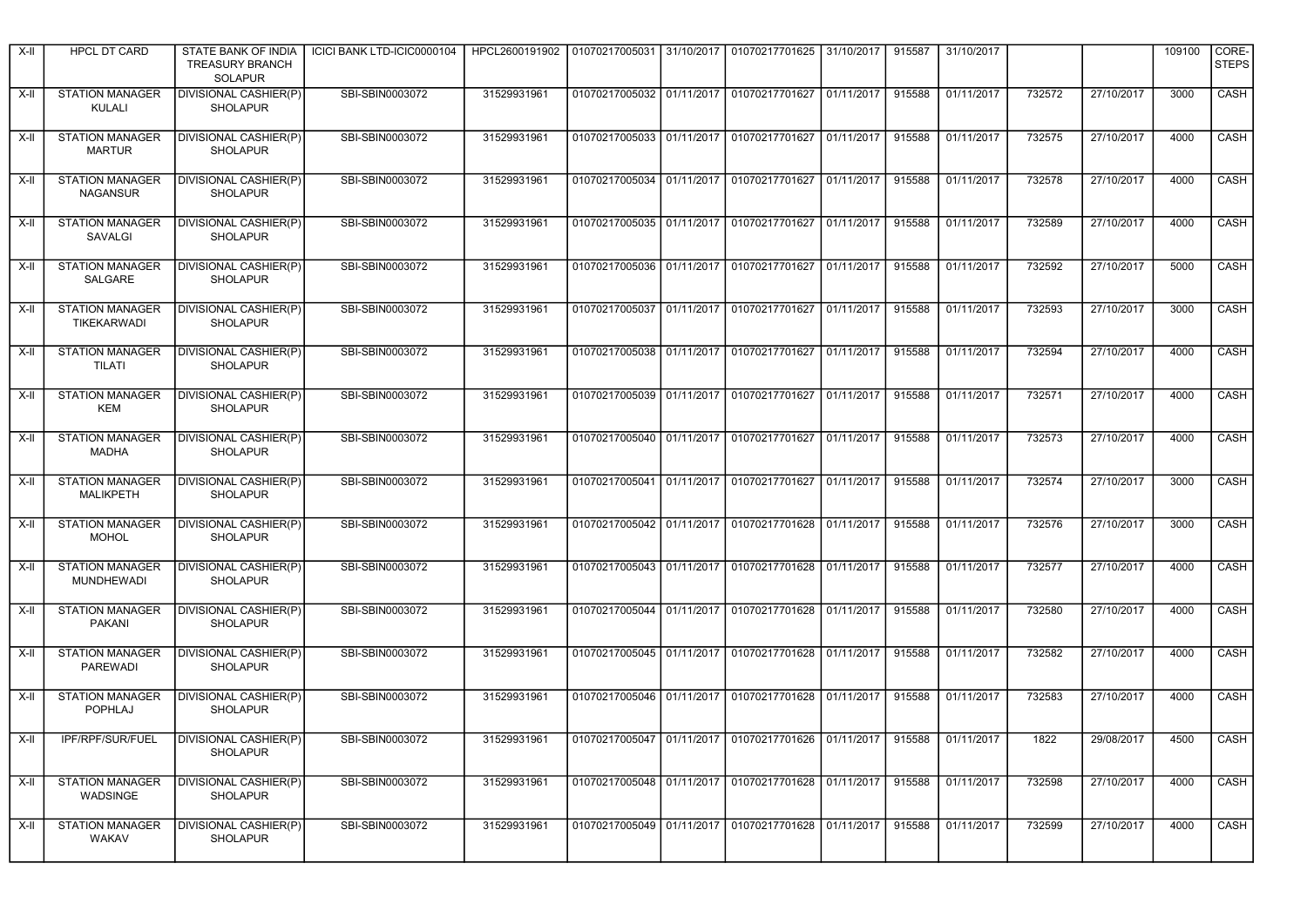| X-II  | <b>HPCL DT CARD</b>                         | STATE BANK OF INDIA<br><b>TREASURY BRANCH</b><br><b>SOLAPUR</b> | ICICI BANK LTD-ICIC0000104 | HPCL2600191902 |  | 01070217005031 31/10/2017 01070217701625 31/10/2017                   |            | 915587 | 31/10/2017          |        |            | 109100 | CORE-<br><b>STEPS</b> |
|-------|---------------------------------------------|-----------------------------------------------------------------|----------------------------|----------------|--|-----------------------------------------------------------------------|------------|--------|---------------------|--------|------------|--------|-----------------------|
| X-II  | <b>STATION MANAGER</b><br>KULALI            | <b>DIVISIONAL CASHIER(P)</b><br><b>SHOLAPUR</b>                 | SBI-SBIN0003072            | 31529931961    |  | 01070217005032 01/11/2017 01070217701627 01/11/2017                   |            | 915588 | 01/11/2017          | 732572 | 27/10/2017 | 3000   | CASH                  |
| X-II  | <b>STATION MANAGER</b><br><b>MARTUR</b>     | DIVISIONAL CASHIER(P)<br><b>SHOLAPUR</b>                        | SBI-SBIN0003072            | 31529931961    |  | 01070217005033   01/11/2017   01070217701627   01/11/2017             |            | 915588 | 01/11/2017          | 732575 | 27/10/2017 | 4000   | CASH                  |
| X-II  | <b>STATION MANAGER</b><br><b>NAGANSUR</b>   | DIVISIONAL CASHIER(P)<br><b>SHOLAPUR</b>                        | SBI-SBIN0003072            | 31529931961    |  | 01070217005034   01/11/2017   01070217701627   01/11/2017             |            | 915588 | 01/11/2017          | 732578 | 27/10/2017 | 4000   | CASH                  |
| X-II  | <b>STATION MANAGER</b><br><b>SAVALGI</b>    | DIVISIONAL CASHIER(P)<br><b>SHOLAPUR</b>                        | SBI-SBIN0003072            | 31529931961    |  | 01070217005035 01/11/2017 01070217701627                              | 01/11/2017 | 915588 | 01/11/2017          | 732589 | 27/10/2017 | 4000   | CASH                  |
| X-II  | <b>STATION MANAGER</b><br>SALGARE           | <b>DIVISIONAL CASHIER(P)</b><br><b>SHOLAPUR</b>                 | SBI-SBIN0003072            | 31529931961    |  | 01070217005036   01/11/2017   01070217701627   01/11/2017             |            | 915588 | 01/11/2017          | 732592 | 27/10/2017 | 5000   | CASH                  |
| X-II  | <b>STATION MANAGER</b><br>TIKEKARWADI       | <b>DIVISIONAL CASHIER(P)</b><br><b>SHOLAPUR</b>                 | SBI-SBIN0003072            | 31529931961    |  | 01070217005037   01/11/2017   01070217701627   01/11/2017             |            | 915588 | 01/11/2017          | 732593 | 27/10/2017 | 3000   | CASH                  |
| X-II  | <b>STATION MANAGER</b><br>TILATI            | <b>DIVISIONAL CASHIER(P)</b><br><b>SHOLAPUR</b>                 | SBI-SBIN0003072            | 31529931961    |  | 01070217005038 01/11/2017 01070217701627                              | 01/11/2017 | 915588 | 01/11/2017          | 732594 | 27/10/2017 | 4000   | CASH                  |
| X-II  | <b>STATION MANAGER</b><br><b>KEM</b>        | DIVISIONAL CASHIER(P)<br><b>SHOLAPUR</b>                        | SBI-SBIN0003072            | 31529931961    |  | 01070217005039   01/11/2017   01070217701627   01/11/2017             |            | 915588 | $\sqrt{01/11/2017}$ | 732571 | 27/10/2017 | 4000   | CASH                  |
| X-II  | <b>STATION MANAGER</b><br>MADHA             | DIVISIONAL CASHIER(P)<br><b>SHOLAPUR</b>                        | SBI-SBIN0003072            | 31529931961    |  | 01070217005040 01/11/2017 01070217701627                              | 01/11/2017 | 915588 | 01/11/2017          | 732573 | 27/10/2017 | 4000   | CASH                  |
| X-II  | <b>STATION MANAGER</b><br>MALIKPETH         | DIVISIONAL CASHIER(P)<br><b>SHOLAPUR</b>                        | SBI-SBIN0003072            | 31529931961    |  | 01070217005041   01/11/2017   01070217701627   01/11/2017             |            | 915588 | 01/11/2017          | 732574 | 27/10/2017 | 3000   | CASH                  |
| X-II  | <b>STATION MANAGER</b><br><b>MOHOL</b>      | DIVISIONAL CASHIER(P)<br><b>SHOLAPUR</b>                        | SBI-SBIN0003072            | 31529931961    |  | 01070217005042   01/11/2017   01070217701628   01/11/2017             |            | 915588 | 01/11/2017          | 732576 | 27/10/2017 | 3000   | <b>CASH</b>           |
| X-II  | <b>STATION MANAGER</b><br><b>MUNDHEWADI</b> | <b>DIVISIONAL CASHIER(P)</b><br><b>SHOLAPUR</b>                 | SBI-SBIN0003072            | 31529931961    |  | 01070217005043   01/11/2017   01070217701628   01/11/2017             |            | 915588 | 01/11/2017          | 732577 | 27/10/2017 | 4000   | CASH                  |
| X-II  | <b>STATION MANAGER</b><br>PAKANI            | <b>DIVISIONAL CASHIER(P)</b><br><b>SHOLAPUR</b>                 | SBI-SBIN0003072            | 31529931961    |  | 01070217005044 01/11/2017 01070217701628 01/11/2017                   |            | 915588 | 01/11/2017          | 732580 | 27/10/2017 | 4000   | CASH                  |
| X-II  | <b>STATION MANAGER</b><br><b>PAREWADI</b>   | <b>DIVISIONAL CASHIER(P)</b><br><b>SHOLAPUR</b>                 | SBI-SBIN0003072            | 31529931961    |  | 01070217005045 01/11/2017 01070217701628 01/11/2017                   |            | 915588 | 01/11/2017          | 732582 | 27/10/2017 | 4000   | <b>CASH</b>           |
| $X-H$ | <b>STATION MANAGER</b><br>POPHLAJ           | DIVISIONAL CASHIER(P)<br><b>SHOLAPUR</b>                        | SBI-SBIN0003072            | 31529931961    |  | 01070217005046 01/11/2017 01070217701628 01/11/2017                   |            | 915588 | 01/11/2017          | 732583 | 27/10/2017 | 4000   | CASH                  |
|       | X-II IPF/RPF/SUR/FUEL                       | DIVISIONAL CASHIER(P)<br>SHOLAPUR                               | SBI-SBIN0003072            | 31529931961    |  | 01070217005047 01/11/2017 01070217701626 01/11/2017 915588 01/11/2017 |            |        |                     | 1822   | 29/08/2017 | 4500   | CASH                  |
| X-II  | <b>STATION MANAGER</b><br>WADSINGE          | <b>DIVISIONAL CASHIER(P)</b><br><b>SHOLAPUR</b>                 | SBI-SBIN0003072            | 31529931961    |  | 01070217005048 01/11/2017 01070217701628 01/11/2017                   |            | 915588 | 01/11/2017          | 732598 | 27/10/2017 | 4000   | CASH                  |
| X-II  | <b>STATION MANAGER</b><br><b>WAKAV</b>      | DIVISIONAL CASHIER(P)<br><b>SHOLAPUR</b>                        | SBI-SBIN0003072            | 31529931961    |  | 01070217005049 01/11/2017 01070217701628 01/11/2017                   |            | 915588 | 01/11/2017          | 732599 | 27/10/2017 | 4000   | CASH                  |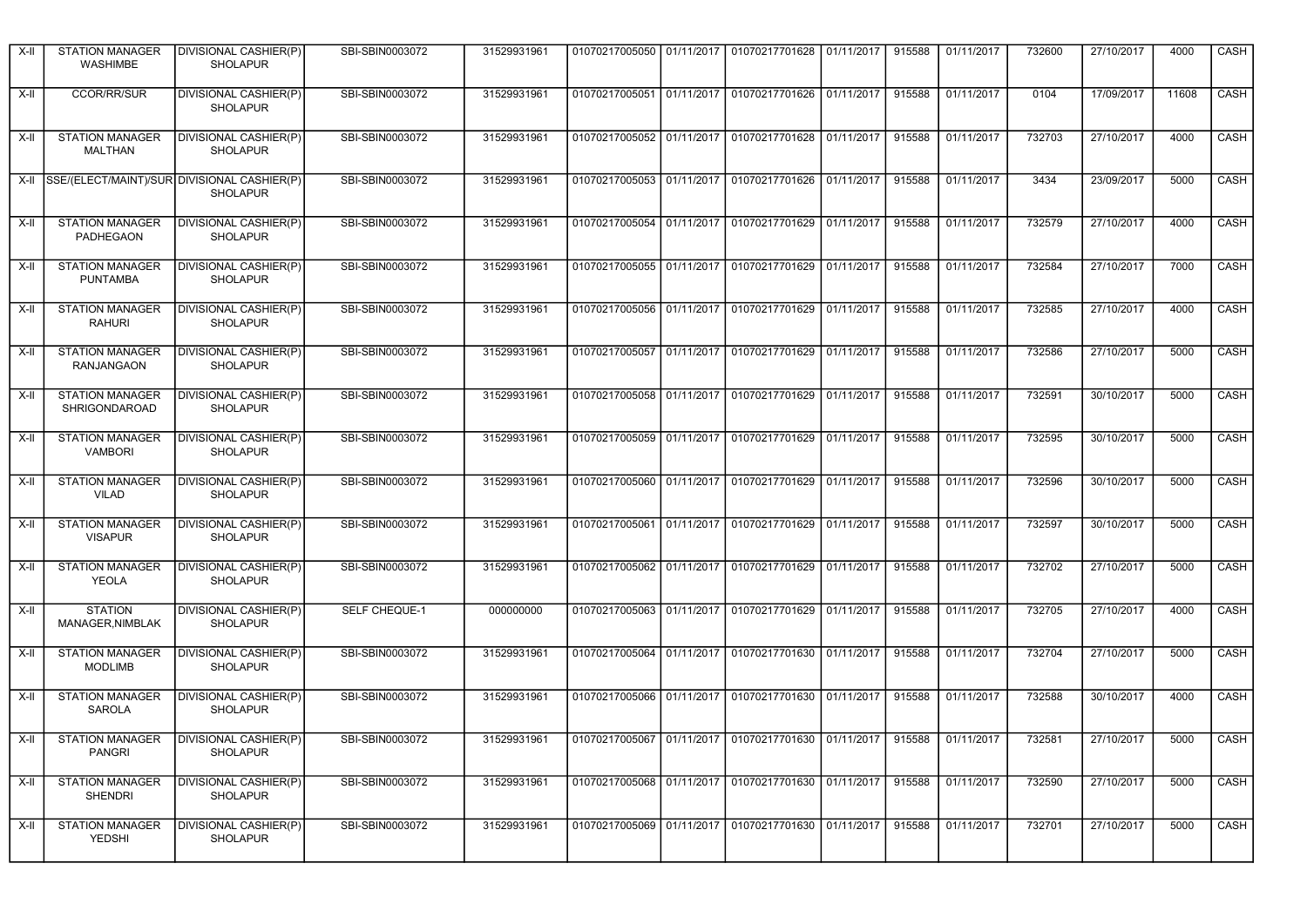| X-II | <b>STATION MANAGER</b><br><b>WASHIMBE</b> | DIVISIONAL CASHIER(P)<br><b>SHOLAPUR</b>                       | SBI-SBIN0003072 | 31529931961 |                                                                       | 01070217005050   01/11/2017   01070217701628   01/11/2017 | 915588 | 01/11/2017 | 732600 | 27/10/2017 | 4000  | CASH                    |
|------|-------------------------------------------|----------------------------------------------------------------|-----------------|-------------|-----------------------------------------------------------------------|-----------------------------------------------------------|--------|------------|--------|------------|-------|-------------------------|
| X-II | <b>CCOR/RR/SUR</b>                        | DIVISIONAL CASHIER(P)<br><b>SHOLAPUR</b>                       | SBI-SBIN0003072 | 31529931961 |                                                                       | 01070217005051 01/11/2017 01070217701626 01/11/2017       | 915588 | 01/11/2017 | 0104   | 17/09/2017 | 11608 | CASH                    |
| X-II | <b>STATION MANAGER</b><br>MALTHAN         | DIVISIONAL CASHIER(P)<br><b>SHOLAPUR</b>                       | SBI-SBIN0003072 | 31529931961 |                                                                       | 01070217005052 01/11/2017 01070217701628 01/11/2017       | 915588 | 01/11/2017 | 732703 | 27/10/2017 | 4000  | CASH                    |
| X-II |                                           | SSE/(ELECT/MAINT)/SUR DIVISIONAL CASHIER(P)<br><b>SHOLAPUR</b> | SBI-SBIN0003072 | 31529931961 |                                                                       | 01070217005053 01/11/2017 01070217701626 01/11/2017       | 915588 | 01/11/2017 | 3434   | 23/09/2017 | 5000  | CASH                    |
| X-II | <b>STATION MANAGER</b><br>PADHEGAON       | DIVISIONAL CASHIER(P)<br><b>SHOLAPUR</b>                       | SBI-SBIN0003072 | 31529931961 | 01070217005054 01/11/2017                                             | 01070217701629 01/11/2017                                 | 915588 | 01/11/2017 | 732579 | 27/10/2017 | 4000  | CASH                    |
| X-II | <b>STATION MANAGER</b><br><b>PUNTAMBA</b> | DIVISIONAL CASHIER(P)<br><b>SHOLAPUR</b>                       | SBI-SBIN0003072 | 31529931961 |                                                                       | 01070217005055 01/11/2017 01070217701629 01/11/2017       | 915588 | 01/11/2017 | 732584 | 27/10/2017 | 7000  | CASH                    |
| X-II | <b>STATION MANAGER</b><br><b>RAHURI</b>   | DIVISIONAL CASHIER(P)<br><b>SHOLAPUR</b>                       | SBI-SBIN0003072 | 31529931961 |                                                                       | 01070217005056 01/11/2017 01070217701629 01/11/2017       | 915588 | 01/11/2017 | 732585 | 27/10/2017 | 4000  | <b>CASH</b>             |
| X-II | <b>STATION MANAGER</b><br>RANJANGAON      | DIVISIONAL CASHIER(P)<br><b>SHOLAPUR</b>                       | SBI-SBIN0003072 | 31529931961 |                                                                       | 01070217005057 01/11/2017 01070217701629 01/11/2017       | 915588 | 01/11/2017 | 732586 | 27/10/2017 | 5000  | CASH                    |
| X-II | <b>STATION MANAGER</b><br>SHRIGONDAROAD   | DIVISIONAL CASHIER(P)<br><b>SHOLAPUR</b>                       | SBI-SBIN0003072 | 31529931961 |                                                                       | 01070217005058   01/11/2017   01070217701629   01/11/2017 | 915588 | 01/11/2017 | 732591 | 30/10/2017 | 5000  | <b>CASH</b>             |
| X-II | <b>STATION MANAGER</b><br><b>VAMBORI</b>  | DIVISIONAL CASHIER(P)<br><b>SHOLAPUR</b>                       | SBI-SBIN0003072 | 31529931961 |                                                                       | 01070217005059   01/11/2017   01070217701629   01/11/2017 | 915588 | 01/11/2017 | 732595 | 30/10/2017 | 5000  | CASH                    |
| X-II | <b>STATION MANAGER</b><br><b>VILAD</b>    | DIVISIONAL CASHIER(P)<br><b>SHOLAPUR</b>                       | SBI-SBIN0003072 | 31529931961 |                                                                       | 01070217005060   01/11/2017   01070217701629   01/11/2017 | 915588 | 01/11/2017 | 732596 | 30/10/2017 | 5000  | CASH                    |
| X-II | <b>STATION MANAGER</b><br><b>VISAPUR</b>  | <b>DIVISIONAL CASHIER(P)</b><br><b>SHOLAPUR</b>                | SBI-SBIN0003072 | 31529931961 |                                                                       | 01070217005061 01/11/2017 01070217701629 01/11/2017       | 915588 | 01/11/2017 | 732597 | 30/10/2017 | 5000  | <b>CASH</b>             |
| X-II | <b>STATION MANAGER</b><br><b>YEOLA</b>    | DIVISIONAL CASHIER(P)<br><b>SHOLAPUR</b>                       | SBI-SBIN0003072 | 31529931961 | 01070217005062 01/11/2017                                             | 01070217701629 01/11/2017                                 | 915588 | 01/11/2017 | 732702 | 27/10/2017 | 5000  | CASH                    |
| X-II | <b>STATION</b><br>MANAGER, NIMBLAK        | DIVISIONAL CASHIER(P)<br><b>SHOLAPUR</b>                       | SELF CHEQUE-1   | 000000000   |                                                                       | 01070217005063   01/11/2017   01070217701629   01/11/2017 | 915588 | 01/11/2017 | 732705 | 27/10/2017 | 4000  | CASH                    |
| X-II | <b>STATION MANAGER</b><br><b>MODLIMB</b>  | <b>DIVISIONAL CASHIER(P)</b><br><b>SHOLAPUR</b>                | SBI-SBIN0003072 | 31529931961 |                                                                       | 01070217005064 01/11/2017 01070217701630 01/11/2017       | 915588 | 01/11/2017 | 732704 | 27/10/2017 | 5000  | <b>CASH</b>             |
| X-II | <b>STATION MANAGER</b><br>SAROLA          | DIVISIONAL CASHIER(P)<br><b>SHOLAPUR</b>                       | SBI-SBIN0003072 | 31529931961 |                                                                       | 01070217005066 01/11/2017 01070217701630 01/11/2017       | 915588 | 01/11/2017 | 732588 | 30/10/2017 | 4000  | CASH                    |
|      | PANGRI                                    | X-II STATION MANAGER DIVISIONAL CASHIER(P)<br><b>SHOLAPUR</b>  | SBI-SBIN0003072 | 31529931961 | 01070217005067 01/11/2017 01070217701630 01/11/2017 915588 01/11/2017 |                                                           |        |            | 732581 | 27/10/2017 | 5000  | $\overline{\big }$ CASH |
| X-II | <b>STATION MANAGER</b><br><b>SHENDRI</b>  | <b>DIVISIONAL CASHIER(P)</b><br><b>SHOLAPUR</b>                | SBI-SBIN0003072 | 31529931961 |                                                                       | 01070217005068 01/11/2017 01070217701630 01/11/2017       | 915588 | 01/11/2017 | 732590 | 27/10/2017 | 5000  | CASH                    |
| X-II | STATION MANAGER<br>YEDSHI                 | DIVISIONAL CASHIER(P)<br><b>SHOLAPUR</b>                       | SBI-SBIN0003072 | 31529931961 |                                                                       | 01070217005069 01/11/2017 01070217701630 01/11/2017       | 915588 | 01/11/2017 | 732701 | 27/10/2017 | 5000  | CASH                    |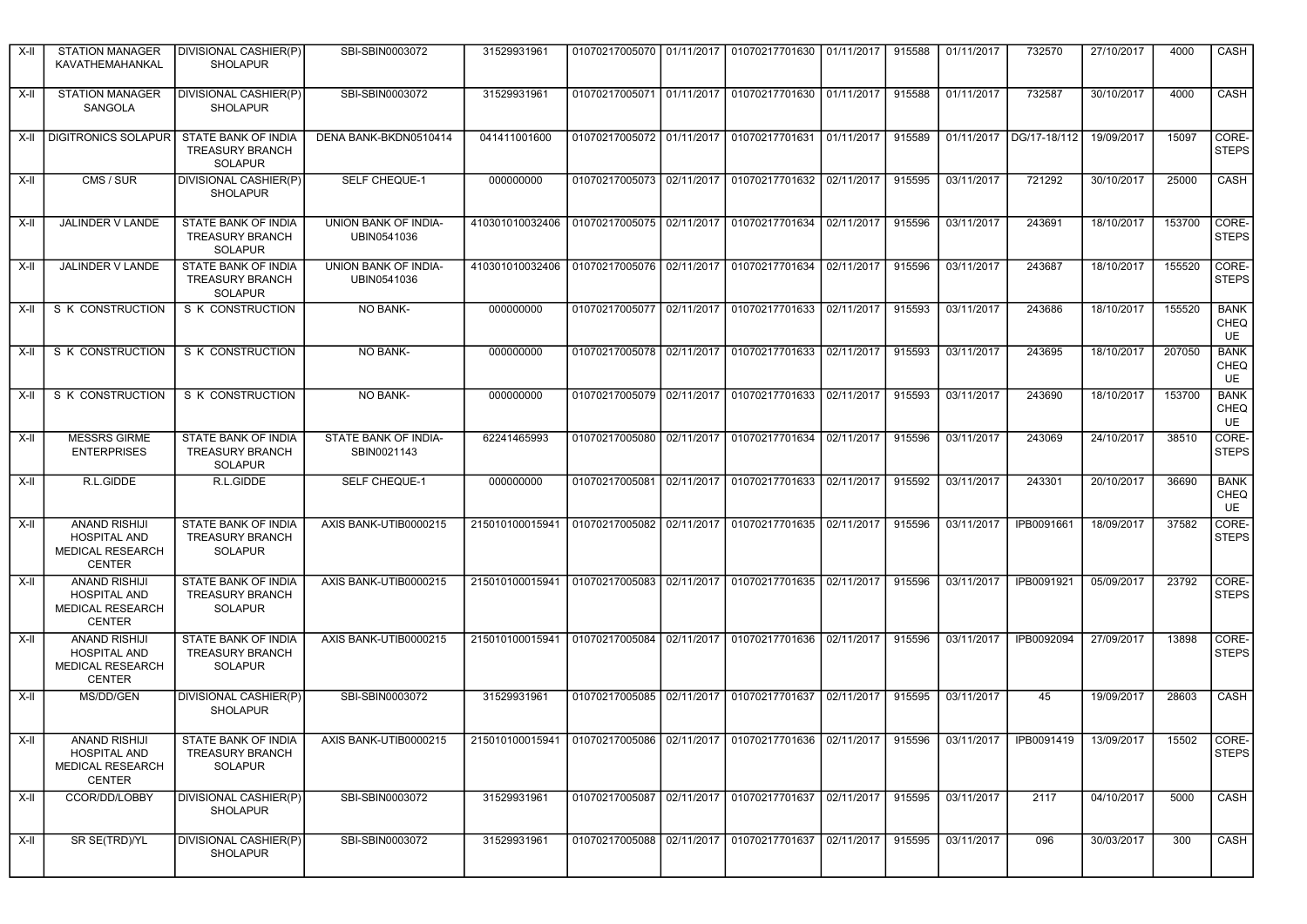| X-II   | <b>STATION MANAGER</b><br>KAVATHEMAHANKAL                                               | DIVISIONAL CASHIER(P)<br><b>SHOLAPUR</b>                        | SBI-SBIN0003072                     | 31529931961                                                                                      | 01070217005070   01/11/2017 |            | 01070217701630 01/11/2017                                 |            | 915588 | 01/11/2017 | 732570            | 27/10/2017 | 4000   | CASH                             |
|--------|-----------------------------------------------------------------------------------------|-----------------------------------------------------------------|-------------------------------------|--------------------------------------------------------------------------------------------------|-----------------------------|------------|-----------------------------------------------------------|------------|--------|------------|-------------------|------------|--------|----------------------------------|
| X-II   | <b>STATION MANAGER</b><br>SANGOLA                                                       | DIVISIONAL CASHIER(P)<br><b>SHOLAPUR</b>                        | SBI-SBIN0003072                     | 31529931961                                                                                      |                             |            | 01070217005071   01/11/2017   01070217701630   01/11/2017 |            | 915588 | 01/11/2017 | 732587            | 30/10/2017 | 4000   | CASH                             |
|        | X-II   DIGITRONICS SOLAPUR                                                              | STATE BANK OF INDIA<br><b>TREASURY BRANCH</b><br><b>SOLAPUR</b> | DENA BANK-BKDN0510414               | 041411001600                                                                                     | 01070217005072 01/11/2017   |            | 01070217701631                                            | 01/11/2017 | 915589 | 01/11/2017 | DG/17-18/112      | 19/09/2017 | 15097  | CORE-<br><b>STEPS</b>            |
| X-II   | CMS / SUR                                                                               | <b>DIVISIONAL CASHIER(P)</b><br><b>SHOLAPUR</b>                 | <b>SELF CHEQUE-1</b>                | 000000000                                                                                        |                             |            | 01070217005073 02/11/2017 01070217701632                  | 02/11/2017 | 915595 | 03/11/2017 | 721292            | 30/10/2017 | 25000  | CASH                             |
| $X-II$ | JALINDER V LANDE                                                                        | STATE BANK OF INDIA<br><b>TREASURY BRANCH</b><br><b>SOLAPUR</b> | UNION BANK OF INDIA-<br>UBIN0541036 | 410301010032406                                                                                  | 01070217005075 02/11/2017   |            | 01070217701634                                            | 02/11/2017 | 915596 | 03/11/2017 | 243691            | 18/10/2017 | 153700 | CORE-<br><b>STEPS</b>            |
| X-II   | JALINDER V LANDE                                                                        | STATE BANK OF INDIA<br><b>TREASURY BRANCH</b><br>SOLAPUR        | UNION BANK OF INDIA-<br>UBIN0541036 | 410301010032406 01070217005076 02/11/2017 01070217701634 02/11/2017                              |                             |            |                                                           |            | 915596 | 03/11/2017 | 243687            | 18/10/2017 | 155520 | CORE-<br><b>STEPS</b>            |
| X-II   | S K CONSTRUCTION                                                                        | S K CONSTRUCTION                                                | <b>NO BANK-</b>                     | 000000000                                                                                        |                             |            | 01070217005077 02/11/2017 01070217701633 02/11/2017       |            | 915593 | 03/11/2017 | 243686            | 18/10/2017 | 155520 | <b>BANK</b><br><b>CHEQ</b><br>UE |
| X-II   | S K CONSTRUCTION                                                                        | S K CONSTRUCTION                                                | <b>NO BANK-</b>                     | 000000000                                                                                        |                             |            | 01070217005078 02/11/2017 01070217701633 02/11/2017       |            | 915593 | 03/11/2017 | 243695            | 18/10/2017 | 207050 | <b>BANK</b><br><b>CHEQ</b><br>UE |
| X-II   | S K CONSTRUCTION                                                                        | S K CONSTRUCTION                                                | NO BANK-                            | 000000000                                                                                        |                             |            | 01070217005079 02/11/2017 01070217701633 02/11/2017       |            | 915593 | 03/11/2017 | 243690            | 18/10/2017 | 153700 | <b>BANK</b><br><b>CHEQ</b><br>UE |
| X-II   | <b>MESSRS GIRME</b><br><b>ENTERPRISES</b>                                               | STATE BANK OF INDIA<br><b>TREASURY BRANCH</b><br><b>SOLAPUR</b> | STATE BANK OF INDIA-<br>SBIN0021143 | 62241465993                                                                                      | 01070217005080 02/11/2017   |            | 01070217701634                                            | 02/11/2017 | 915596 | 03/11/2017 | 243069            | 24/10/2017 | 38510  | CORE-<br><b>STEPS</b>            |
| X-II   | R.L.GIDDE                                                                               | R.L.GIDDE                                                       | <b>SELF CHEQUE-1</b>                | 000000000                                                                                        |                             |            | 01070217005081 02/11/2017 01070217701633 02/11/2017       |            | 915592 | 03/11/2017 | 243301            | 20/10/2017 | 36690  | <b>BANK</b><br><b>CHEQ</b><br>UE |
| X-II   | <b>ANAND RISHIJI</b><br><b>HOSPITAL AND</b><br>MEDICAL RESEARCH<br><b>CENTER</b>        | STATE BANK OF INDIA<br><b>TREASURY BRANCH</b><br>SOLAPUR        | AXIS BANK-UTIB0000215               | 215010100015941   01070217005082   02/11/2017   01070217701635   02/11/2017                      |                             |            |                                                           |            | 915596 | 03/11/2017 | IPB0091661        | 18/09/2017 | 37582  | CORE-<br><b>STEPS</b>            |
| X-II   | <b>ANAND RISHIJI</b><br><b>HOSPITAL AND</b><br>MEDICAL RESEARCH<br><b>CENTER</b>        | STATE BANK OF INDIA<br><b>TREASURY BRANCH</b><br><b>SOLAPUR</b> | AXIS BANK-UTIB0000215               | 215010100015941                                                                                  | 01070217005083 02/11/2017   |            | 01070217701635                                            | 02/11/2017 | 915596 | 03/11/2017 | <b>IPB0091921</b> | 05/09/2017 | 23792  | CORE-<br><b>STEPS</b>            |
| X-II   | <b>ANAND RISHIJI</b><br><b>HOSPITAL AND</b><br><b>MEDICAL RESEARCH</b><br><b>CENTER</b> | STATE BANK OF INDIA<br><b>TREASURY BRANCH</b><br>SOLAPUR        | AXIS BANK-UTIB0000215               | 215010100015941                                                                                  | 01070217005084              | 02/11/2017 | 01070217701636 02/11/2017                                 |            | 915596 | 03/11/2017 | IPB0092094        | 27/09/2017 | 13898  | CORE-<br><b>STEPS</b>            |
| X-II   | MS/DD/GEN                                                                               | <b>DIVISIONAL CASHIER(P)</b><br><b>SHOLAPUR</b>                 | SBI-SBIN0003072                     | 31529931961                                                                                      | 01070217005085              | 02/11/2017 | 01070217701637                                            | 02/11/2017 | 915595 | 03/11/2017 | 45                | 19/09/2017 | 28603  | CASH                             |
| $X-H$  | <b>ANAND RISHIJI</b><br>HOSPITAL AND<br>MEDICAL RESEARCH<br><b>CENTER</b>               | STATE BANK OF INDIA<br><b>TREASURY BRANCH</b><br><b>SOLAPUR</b> | AXIS BANK-UTIB0000215               | 215010100015941 01070217005086 02/11/2017 01070217701636 02/11/2017 915596 03/11/2017 IPB0091419 |                             |            |                                                           |            |        |            |                   | 13/09/2017 | 15502  | CORE-<br><b>STEPS</b>            |
| X-II   | CCOR/DD/LOBBY                                                                           | <b>DIVISIONAL CASHIER(P)</b><br><b>SHOLAPUR</b>                 | SBI-SBIN0003072                     | 31529931961                                                                                      |                             |            | 01070217005087 02/11/2017 01070217701637 02/11/2017       |            | 915595 | 03/11/2017 | 2117              | 04/10/2017 | 5000   | CASH                             |
| X-II   | SR SE(TRD)/YL                                                                           | DIVISIONAL CASHIER(P)<br><b>SHOLAPUR</b>                        | SBI-SBIN0003072                     | 31529931961                                                                                      |                             |            | 01070217005088 02/11/2017 01070217701637 02/11/2017       |            | 915595 | 03/11/2017 | 096               | 30/03/2017 | 300    | CASH                             |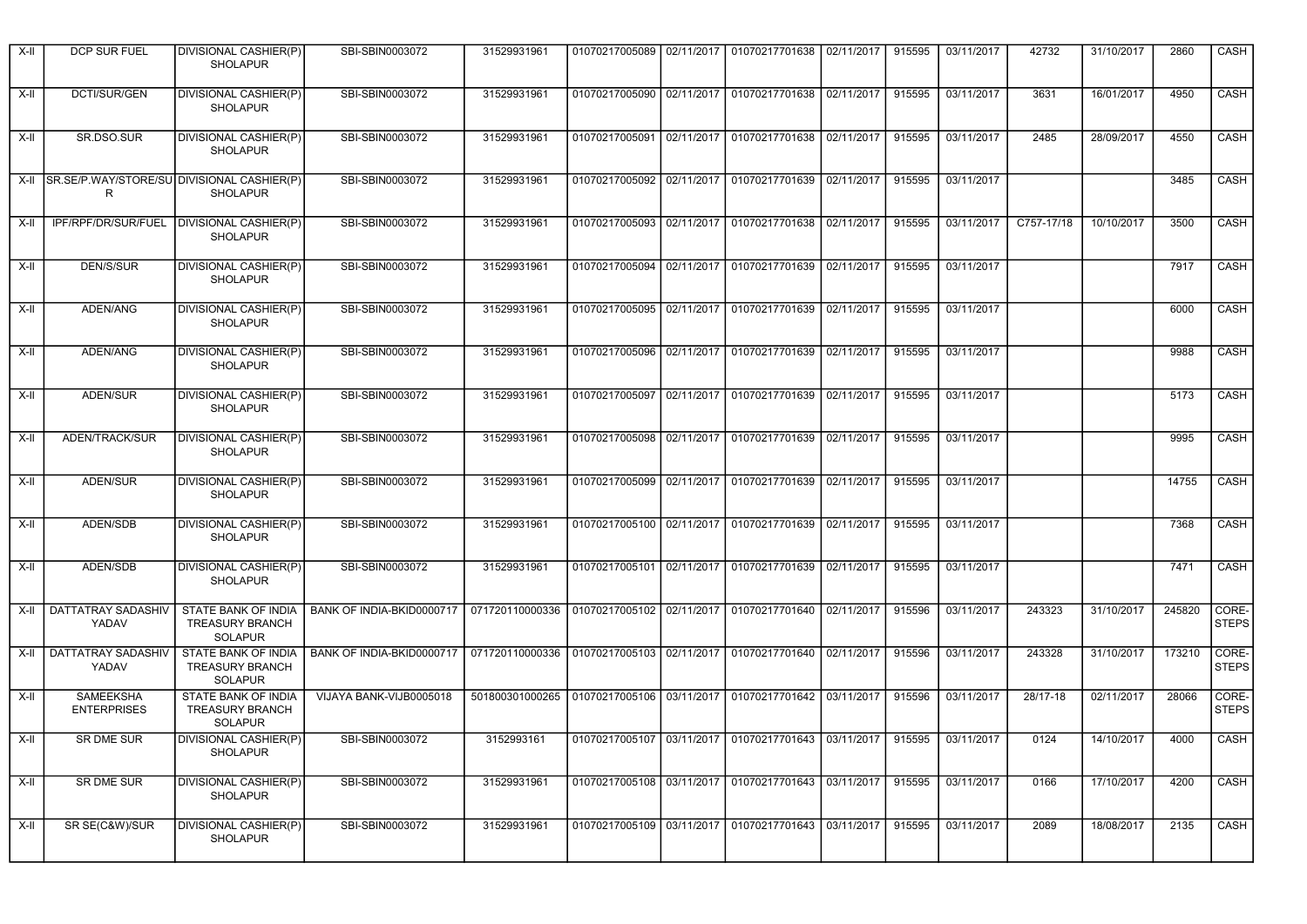| X-II            | DCP SUR FUEL                                    | DIVISIONAL CASHIER(P)<br><b>SHOLAPUR</b>                               | SBI-SBIN0003072           | 31529931961                                                                 |                           | 01070217005089   02/11/2017   01070217701638   02/11/2017             |            | 915595 | 03/11/2017 | 42732      | 31/10/2017 | 2860   | CASH                    |
|-----------------|-------------------------------------------------|------------------------------------------------------------------------|---------------------------|-----------------------------------------------------------------------------|---------------------------|-----------------------------------------------------------------------|------------|--------|------------|------------|------------|--------|-------------------------|
| X-II            | DCTI/SUR/GEN                                    | DIVISIONAL CASHIER(P)<br><b>SHOLAPUR</b>                               | SBI-SBIN0003072           | 31529931961                                                                 |                           | 01070217005090 02/11/2017 01070217701638 02/11/2017                   |            | 915595 | 03/11/2017 | 3631       | 16/01/2017 | 4950   | CASH                    |
| X-II            | SR.DSO.SUR                                      | DIVISIONAL CASHIER(P)<br><b>SHOLAPUR</b>                               | SBI-SBIN0003072           | 31529931961                                                                 |                           | 01070217005091 02/11/2017 01070217701638                              | 02/11/2017 | 915595 | 03/11/2017 | 2485       | 28/09/2017 | 4550   | CASH                    |
| X-II            | SR.SE/P.WAY/STORE/SU DIVISIONAL CASHIER(P)<br>R | <b>SHOLAPUR</b>                                                        | SBI-SBIN0003072           | 31529931961                                                                 |                           | 01070217005092 02/11/2017 01070217701639 02/11/2017                   |            | 915595 | 03/11/2017 |            |            | 3485   | CASH                    |
| X-II            | IPF/RPF/DR/SUR/FUEL                             | <b>DIVISIONAL CASHIER(P)</b><br><b>SHOLAPUR</b>                        | SBI-SBIN0003072           | 31529931961                                                                 | 01070217005093 02/11/2017 | 01070217701638                                                        | 02/11/2017 | 915595 | 03/11/2017 | C757-17/18 | 10/10/2017 | 3500   | CASH                    |
| X-II            | DEN/S/SUR                                       | DIVISIONAL CASHIER(P)<br><b>SHOLAPUR</b>                               | SBI-SBIN0003072           | 31529931961                                                                 |                           | 01070217005094 02/11/2017 01070217701639 02/11/2017                   |            | 915595 | 03/11/2017 |            |            | 7917   | CASH                    |
| X-II            | ADEN/ANG                                        | <b>DIVISIONAL CASHIER(P)</b><br><b>SHOLAPUR</b>                        | SBI-SBIN0003072           | 31529931961                                                                 |                           | 01070217005095 02/11/2017 01070217701639 02/11/2017                   |            | 915595 | 03/11/2017 |            |            | 6000   | <b>CASH</b>             |
| X-II            | <b>ADEN/ANG</b>                                 | DIVISIONAL CASHIER(P)<br><b>SHOLAPUR</b>                               | SBI-SBIN0003072           | 31529931961                                                                 |                           | 01070217005096   02/11/2017   01070217701639   02/11/2017             |            | 915595 | 03/11/2017 |            |            | 9988   | CASH                    |
| X-II            | ADEN/SUR                                        | DIVISIONAL CASHIER(P)<br><b>SHOLAPUR</b>                               | SBI-SBIN0003072           | 31529931961                                                                 |                           | 01070217005097   02/11/2017   01070217701639   02/11/2017             |            | 915595 | 03/11/2017 |            |            | 5173   | <b>CASH</b>             |
| X-II            | ADEN/TRACK/SUR                                  | DIVISIONAL CASHIER(P)<br><b>SHOLAPUR</b>                               | SBI-SBIN0003072           | 31529931961                                                                 |                           | 01070217005098   02/11/2017   01070217701639   02/11/2017             |            | 915595 | 03/11/2017 |            |            | 9995   | CASH                    |
| X-II            | <b>ADEN/SUR</b>                                 | DIVISIONAL CASHIER(P)<br><b>SHOLAPUR</b>                               | SBI-SBIN0003072           | 31529931961                                                                 |                           | 01070217005099   02/11/2017   01070217701639   02/11/2017             |            | 915595 | 03/11/2017 |            |            | 14755  | CASH                    |
| X-II            | ADEN/SDB                                        | DIVISIONAL CASHIER(P)<br><b>SHOLAPUR</b>                               | SBI-SBIN0003072           | 31529931961                                                                 |                           | 01070217005100 02/11/2017 01070217701639 02/11/2017                   |            | 915595 | 03/11/2017 |            |            | 7368   | <b>CASH</b>             |
| X-II            | ADEN/SDB                                        | DIVISIONAL CASHIER(P)<br><b>SHOLAPUR</b>                               | SBI-SBIN0003072           | 31529931961                                                                 | 01070217005101 02/11/2017 | 01070217701639 02/11/2017                                             |            | 915595 | 03/11/2017 |            |            | 7471   | CASH                    |
| X-II            | DATTATRAY SADASHIV<br>YADAV                     | STATE BANK OF INDIA<br><b>TREASURY BRANCH</b><br><b>SOLAPUR</b>        | BANK OF INDIA-BKID0000717 | 071720110000336 01070217005102 02/11/2017 01070217701640 02/11/2017         |                           |                                                                       |            | 915596 | 03/11/2017 | 243323     | 31/10/2017 | 245820 | CORE-<br><b>STEPS</b>   |
| X-II            | <b>DATTATRAY SADASHIV</b><br>YADAV              | STATE BANK OF INDIA<br><b>TREASURY BRANCH</b><br><b>SOLAPUR</b>        | BANK OF INDIA-BKID0000717 | 071720110000336 01070217005103 02/11/2017 01070217701640 02/11/2017         |                           |                                                                       |            | 915596 | 03/11/2017 | 243328     | 31/10/2017 | 173210 | CORE-<br><b>STEPS</b>   |
| X-II            | SAMEEKSHA<br><b>ENTERPRISES</b>                 | <b>STATE BANK OF INDIA</b><br><b>TREASURY BRANCH</b><br><b>SOLAPUR</b> | VIJAYA BANK-VIJB0005018   | 501800301000265   01070217005106   03/11/2017   01070217701642   03/11/2017 |                           |                                                                       |            | 915596 | 03/11/2017 | 28/17-18   | 02/11/2017 | 28066  | CORE-<br><b>STEPS</b>   |
| x <sub>  </sub> | SR DME SUR                                      | DIVISIONAL CASHIER(P)<br><b>SHOLAPUR</b>                               | SBI-SBIN0003072           | 3152993161                                                                  |                           | 01070217005107 03/11/2017 01070217701643 03/11/2017 915595 03/11/2017 |            |        |            | 0124       | 14/10/2017 | 4000   | $\overline{\big }$ CASH |
| $X-II$          | SR DME SUR                                      | DIVISIONAL CASHIER(P)<br><b>SHOLAPUR</b>                               | SBI-SBIN0003072           | 31529931961                                                                 |                           | 01070217005108 03/11/2017 01070217701643 03/11/2017                   |            | 915595 | 03/11/2017 | 0166       | 17/10/2017 | 4200   | CASH                    |
| X-II            | SR SE(C&W)/SUR                                  | DIVISIONAL CASHIER(P)<br><b>SHOLAPUR</b>                               | SBI-SBIN0003072           | 31529931961                                                                 |                           | 01070217005109 03/11/2017 01070217701643 03/11/2017                   |            | 915595 | 03/11/2017 | 2089       | 18/08/2017 | 2135   | CASH                    |